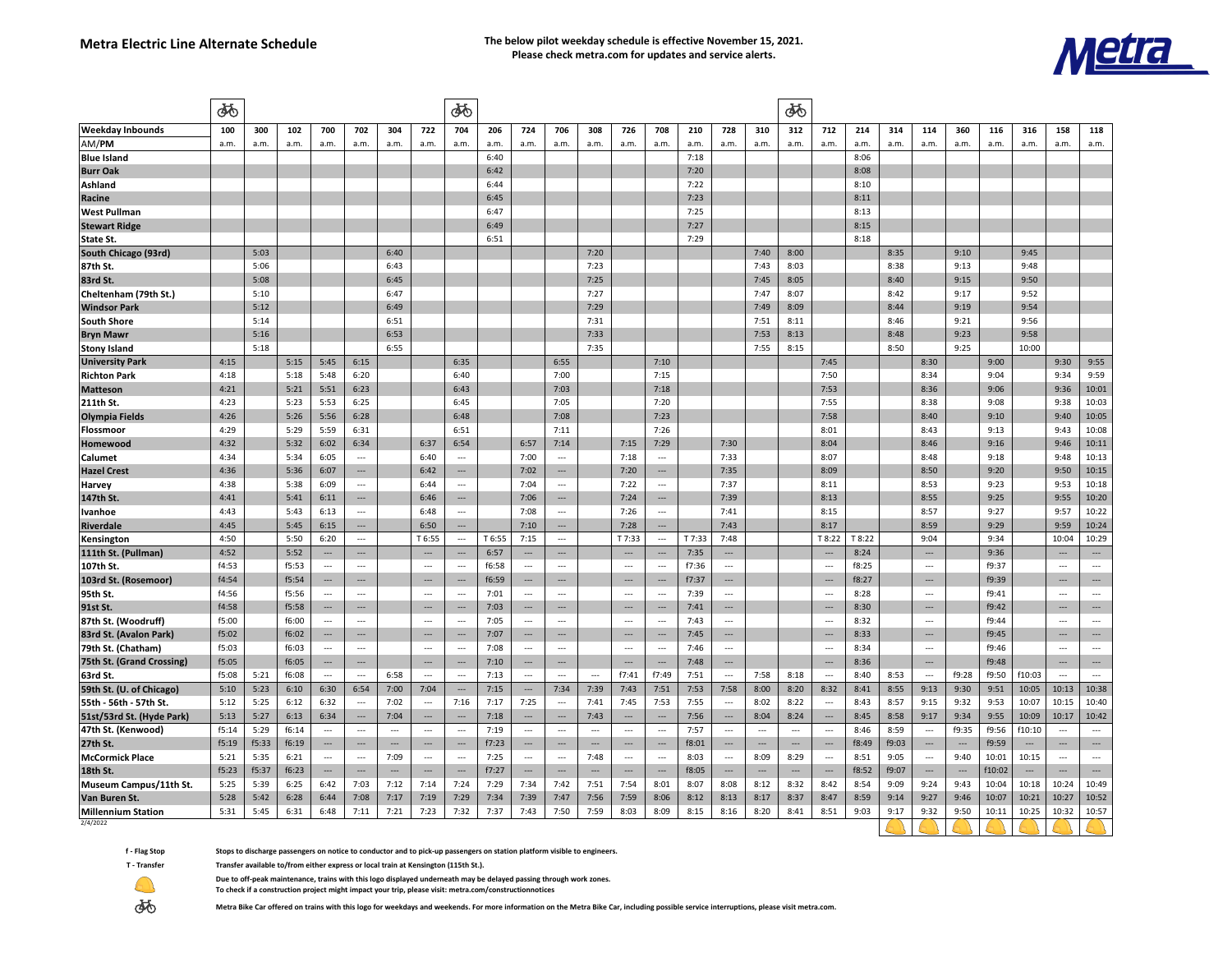## **Metra Electric Line Alternate Schedule The below pilot weekday schedule is effective November 15, 2021. Please check metra.com for updates and service alerts.**



|                           | ÒФ    |       |       |                          |                          |                          |                          | ණි                       |        |                          |                          |          |                          |                          |        |                          |                          | ௸                        |                          |        |       |                          |                          |        |                          |                          |                          |
|---------------------------|-------|-------|-------|--------------------------|--------------------------|--------------------------|--------------------------|--------------------------|--------|--------------------------|--------------------------|----------|--------------------------|--------------------------|--------|--------------------------|--------------------------|--------------------------|--------------------------|--------|-------|--------------------------|--------------------------|--------|--------------------------|--------------------------|--------------------------|
| <b>Weekday Inbounds</b>   | 100   | 300   | 102   | 700                      | 702                      | 304                      | 722                      | 704                      | 206    | 724                      | 706                      | 308      | 726                      | 708                      | 210    | 728                      | 310                      | 312                      | 712                      | 214    | 314   | 114                      | 360                      | 116    | 316                      | 158                      | 118                      |
| AM/PM                     | a.m.  | a.m.  | a.m.  | a.m.                     | a.m.                     | a.m.                     | a.m.                     | a.m.                     | a.m    | a.m.                     | a.m.                     | a.m.     | a.m.                     | a.m.                     | a.m.   | a.m.                     | a.m.                     | a.m.                     | a.m.                     | a.m.   | a.m.  | a.m.                     | a.m.                     | a.m.   | a.m.                     | a.m.                     | a.m.                     |
| <b>Blue Island</b>        |       |       |       |                          |                          |                          |                          |                          | 6:40   |                          |                          |          |                          |                          | 7:18   |                          |                          |                          |                          | 8:06   |       |                          |                          |        |                          |                          |                          |
| <b>Burr Oak</b>           |       |       |       |                          |                          |                          |                          |                          | 6:42   |                          |                          |          |                          |                          | 7:20   |                          |                          |                          |                          | 8:08   |       |                          |                          |        |                          |                          |                          |
| Ashland                   |       |       |       |                          |                          |                          |                          |                          | 6:44   |                          |                          |          |                          |                          | 7:22   |                          |                          |                          |                          | 8:10   |       |                          |                          |        |                          |                          |                          |
| Racine                    |       |       |       |                          |                          |                          |                          |                          | 6:45   |                          |                          |          |                          |                          | 7:23   |                          |                          |                          |                          | 8:11   |       |                          |                          |        |                          |                          |                          |
| <b>West Pullman</b>       |       |       |       |                          |                          |                          |                          |                          | 6:47   |                          |                          |          |                          |                          | 7:25   |                          |                          |                          |                          | 8:13   |       |                          |                          |        |                          |                          |                          |
| <b>Stewart Ridge</b>      |       |       |       |                          |                          |                          |                          |                          | 6:49   |                          |                          |          |                          |                          | 7:27   |                          |                          |                          |                          | 8:15   |       |                          |                          |        |                          |                          |                          |
| State St.                 |       |       |       |                          |                          |                          |                          |                          | 6:51   |                          |                          |          |                          |                          | 7:29   |                          |                          |                          |                          | 8:18   |       |                          |                          |        |                          |                          |                          |
| South Chicago (93rd)      |       | 5:03  |       |                          |                          | 6:40                     |                          |                          |        |                          |                          | 7:20     |                          |                          |        |                          | 7:40                     | 8:00                     |                          |        | 8:35  |                          | 9:10                     |        | 9:45                     |                          |                          |
| 87th St.                  |       | 5:06  |       |                          |                          | 6:43                     |                          |                          |        |                          |                          | 7:23     |                          |                          |        |                          | 7:43                     | 8:03                     |                          |        | 8:38  |                          | 9:13                     |        | 9:48                     |                          |                          |
| 83rd St.                  |       | 5:08  |       |                          |                          | 6:45                     |                          |                          |        |                          |                          | 7:25     |                          |                          |        |                          | 7:45                     | 8:05                     |                          |        | 8:40  |                          | 9:15                     |        | 9:50                     |                          |                          |
| Cheltenham (79th St.)     |       | 5:10  |       |                          |                          | 6:47                     |                          |                          |        |                          |                          | 7:27     |                          |                          |        |                          | 7:47                     | 8:07                     |                          |        | 8:42  |                          | 9:17                     |        | 9:52                     |                          |                          |
| <b>Windsor Park</b>       |       | 5:12  |       |                          |                          | 6:49                     |                          |                          |        |                          |                          | 7:29     |                          |                          |        |                          | 7:49                     | 8:09                     |                          |        | 8:44  |                          | 9:19                     |        | 9:54                     |                          |                          |
| <b>South Shore</b>        |       | 5:14  |       |                          |                          | 6:51                     |                          |                          |        |                          |                          | 7:31     |                          |                          |        |                          | 7:51                     | 8:11                     |                          |        | 8:46  |                          | 9:21                     |        | 9:56                     |                          |                          |
| <b>Bryn Mawr</b>          |       | 5:16  |       |                          |                          | 6:53                     |                          |                          |        |                          |                          | 7:33     |                          |                          |        |                          | 7:53                     | 8:13                     |                          |        | 8:48  |                          | 9:23                     |        | 9:58                     |                          |                          |
| <b>Stony Island</b>       |       | 5:18  |       |                          |                          | 6:55                     |                          |                          |        |                          |                          | 7:35     |                          |                          |        |                          | 7:55                     | 8:15                     |                          |        | 8:50  |                          | 9:25                     |        | 10:00                    |                          |                          |
| <b>University Park</b>    | 4:15  |       | 5:15  | 5:45                     | 6:15                     |                          |                          | 6:35                     |        |                          | 6:55                     |          |                          | 7:10                     |        |                          |                          |                          | 7:45                     |        |       | 8:30                     |                          | 9:00   |                          | 9:30                     | 9:55                     |
| <b>Richton Park</b>       | 4:18  |       | 5:18  | 5:48                     | 6:20                     |                          |                          | 6:40                     |        |                          | 7:00                     |          |                          | 7:15                     |        |                          |                          |                          | 7:50                     |        |       | 8:34                     |                          | 9:04   |                          | 9:34                     | 9:59                     |
| <b>Matteson</b>           | 4:21  |       | 5:21  | 5:51                     | 6:23                     |                          |                          | 6:43                     |        |                          | 7:03                     |          |                          | 7:18                     |        |                          |                          |                          | 7:53                     |        |       | 8:36                     |                          | 9:06   |                          | 9:36                     | 10:01                    |
| 211th St.                 | 4:23  |       | 5:23  | 5:53                     | 6:25                     |                          |                          | 6:45                     |        |                          | 7:05                     |          |                          | 7:20                     |        |                          |                          |                          | 7:55                     |        |       | 8:38                     |                          | 9:08   |                          | 9:38                     | 10:03                    |
| <b>Olympia Fields</b>     | 4:26  |       | 5:26  | 5:56                     | 6:28                     |                          |                          | 6:48                     |        |                          | 7:08                     |          |                          | 7:23                     |        |                          |                          |                          | 7:58                     |        |       | 8:40                     |                          | 9:10   |                          | 9:40                     | 10:05                    |
| Flossmoor                 | 4:29  |       | 5:29  | 5:59                     | 6:31                     |                          |                          | 6:51                     |        |                          | 7:11                     |          |                          | 7:26                     |        |                          |                          |                          | 8:01                     |        |       | 8:43                     |                          | 9:13   |                          | 9:43                     | 10:08                    |
| Homewood                  | 4:32  |       | 5:32  | 6:02                     | 6:34                     |                          | 6:37                     | 6:54                     |        | 6:57                     | 7:14                     |          | 7:15                     | 7:29                     |        | 7:30                     |                          |                          | 8:04                     |        |       | 8:46                     |                          | 9:16   |                          | 9:46                     | 10:11                    |
| Calumet                   | 4:34  |       | 5:34  | 6:05                     | $\overline{\phantom{a}}$ |                          | 6:40                     | $\sim$                   |        | 7:00                     | $\ldots$                 |          | 7:18                     | $\overline{\phantom{a}}$ |        | 7:33                     |                          |                          | 8:07                     |        |       | 8:48                     |                          | 9:18   |                          | 9:48                     | 10:13                    |
| <b>Hazel Crest</b>        | 4:36  |       | 5:36  | 6:07                     | $\overline{\phantom{a}}$ |                          | 6:42                     | $\overline{\phantom{a}}$ |        | 7:02                     | $\overline{\phantom{a}}$ |          | 7:20                     | $\cdots$                 |        | 7:35                     |                          |                          | 8:09                     |        |       | 8:50                     |                          | 9:20   |                          | 9:50                     | 10:15                    |
| Harvey                    | 4:38  |       | 5:38  | 6:09                     | $\overline{\phantom{a}}$ |                          | 6:44                     | $\overline{\phantom{a}}$ |        | 7:04                     | $\ldots$                 |          | 7:22                     | ---                      |        | 7:37                     |                          |                          | 8:11                     |        |       | 8:53                     |                          | 9:23   |                          | 9:53                     | 10:18                    |
| 147th St.                 | 4:41  |       | 5:41  | 6:11                     | $\overline{\phantom{a}}$ |                          | 6:46                     | $\overline{\phantom{a}}$ |        | 7:06                     | $\overline{\phantom{a}}$ |          | 7:24                     | ---                      |        | 7:39                     |                          |                          | 8:13                     |        |       | 8:55                     |                          | 9:25   |                          | 9:55                     | 10:20                    |
| <b>Ivanhoe</b>            | 4:43  |       | 5:43  | 6:13                     | $\sim$                   |                          | 6:48                     | $\overline{\phantom{a}}$ |        | 7:08                     | $\sim$                   |          | 7:26                     | $\overline{a}$           |        | 7:41                     |                          |                          | 8:15                     |        |       | 8:57                     |                          | 9:27   |                          | 9:57                     | 10:22                    |
| <b>Riverdale</b>          | 4:45  |       | 5:45  | 6:15                     | $\overline{\phantom{a}}$ |                          | 6:50                     | $\overline{\phantom{a}}$ |        | 7:10                     | $\overline{\phantom{a}}$ |          | 7:28                     | ---                      |        | 7:43                     |                          |                          | 8:17                     |        |       | 8:59                     |                          | 9:29   |                          | 9:59                     | 10:24                    |
| Kensington                | 4:50  |       | 5:50  | 6:20                     | $\sim$                   |                          | T 6:55                   | $\cdots$                 | T 6:55 | 7:15                     | $\ldots$                 |          | T 7:33                   | $\ldots$                 | T 7:33 | 7:48                     |                          |                          | T 8:22                   | T 8:22 |       | 9:04                     |                          | 9:34   |                          | 10:04                    | 10:29                    |
| 111th St. (Pullman)       | 4:52  |       | 5:52  | $\overline{\phantom{a}}$ | ---                      |                          | $\ldots$                 |                          | 6:57   | $\overline{\phantom{a}}$ | $\overline{\phantom{a}}$ |          |                          | $\overline{\phantom{a}}$ | 7:35   | $\overline{\phantom{a}}$ |                          |                          | $\overline{\phantom{a}}$ | 8:24   |       |                          |                          | 9:36   |                          | $\sim$                   | $\overline{\phantom{a}}$ |
| 107th St.                 | f4:53 |       | f5:53 | ---                      | $\overline{\phantom{a}}$ |                          | $\cdots$                 | $\overline{\phantom{a}}$ | f6:58  | $\cdots$                 | $\ldots$                 |          | $\cdots$                 | $\cdots$                 | f7:36  | $\cdots$                 |                          |                          | $\overline{\phantom{a}}$ | f8:25  |       | $\overline{\phantom{a}}$ |                          | f9:37  |                          | $\sim$                   | $\overline{\phantom{a}}$ |
| 103rd St. (Rosemoor)      | f4:54 |       | f5:54 | $\overline{\phantom{a}}$ | $\overline{\phantom{a}}$ |                          | ---                      |                          | f6:59  | $\sim$                   | $\cdots$                 |          | $\sim$                   | $\overline{\phantom{a}}$ | f7:37  | $\cdots$                 |                          |                          | $\overline{\phantom{a}}$ | f8:27  |       | ---                      |                          | f9:39  |                          | $\overline{\phantom{a}}$ | $\cdots$                 |
| 95th St.                  | f4:56 |       | f5:56 | ---                      | ---                      |                          | $\overline{\phantom{a}}$ | $\sim$                   | 7:01   | $\sim$                   | $\cdots$                 |          | $\cdots$                 | $\overline{\phantom{a}}$ | 7:39   | $\ldots$                 |                          |                          | $\overline{\phantom{a}}$ | 8:28   |       | $\overline{\phantom{a}}$ |                          | f9:41  |                          | $\sim$                   | $\overline{\phantom{a}}$ |
| 91st St.                  | f4:58 |       | f5:58 | $\sim$                   | $\sim$                   |                          | $\sim$                   | $\sim$                   | 7:03   | $\overline{\phantom{a}}$ | $\overline{\phantom{a}}$ |          | $\sim$                   | $\sim$                   | 7:41   | $\sim$                   |                          |                          | $\overline{a}$           | 8:30   |       | $\sim$                   |                          | f9:42  |                          | $\sim$                   | $\sim$                   |
| 87th St. (Woodruff)       | f5:00 |       | f6:00 | $\overline{\phantom{a}}$ | ---                      |                          | $\overline{\phantom{a}}$ | $\overline{\phantom{a}}$ | 7:05   | $\overline{\phantom{a}}$ | $\overline{\phantom{a}}$ |          | $\overline{\phantom{a}}$ | $\overline{\phantom{a}}$ | 7:43   | $\ldots$                 |                          |                          | $\overline{\phantom{a}}$ | 8:32   |       | $\overline{a}$           |                          | f9:44  |                          | $\sim$                   | $\ldots$                 |
| 83rd St. (Avalon Park)    | f5:02 |       | f6:02 | ---                      | $\cdots$                 |                          | ---                      |                          | 7:07   | $---$                    | $\cdots$                 |          | $\sim$                   | ---                      | 7:45   | $\hspace{0.05cm} \cdots$ |                          |                          | $\overline{\phantom{a}}$ | 8:33   |       | $\overline{\phantom{a}}$ |                          | f9:45  |                          | $\cdots$                 | ---                      |
| 79th St. (Chatham)        | f5:03 |       | f6:03 | ---                      |                          |                          | ---                      | $\sim$                   | 7:08   | $\overline{\phantom{a}}$ | $\overline{\phantom{a}}$ |          | $\sim$                   | ---                      | 7:46   | ---                      |                          |                          | $\overline{\phantom{a}}$ | 8:34   |       | $\sim$                   |                          | f9:46  |                          | $\cdots$                 | $\ldots$                 |
| 75th St. (Grand Crossing) | f5:05 |       | f6:05 | $\overline{\phantom{a}}$ | ---                      |                          | $\overline{\phantom{a}}$ | $\overline{\phantom{a}}$ | 7:10   | $\overline{\phantom{a}}$ | $\overline{\phantom{a}}$ |          | $\overline{\phantom{a}}$ | $\overline{\phantom{a}}$ | 7:48   | $\overline{\phantom{a}}$ |                          |                          | $\overline{\phantom{a}}$ | 8:36   |       | $\overline{\phantom{a}}$ |                          | f9:48  |                          | $\overline{\phantom{a}}$ | $\ldots$                 |
| 63rd St.                  | f5:08 | 5:21  | f6:08 | $\overline{\phantom{a}}$ | $\overline{\phantom{a}}$ | 6:58                     | $\hspace{0.05cm} \cdots$ | $\overline{\phantom{a}}$ | 7:13   | $\sim$                   | $\overline{\phantom{a}}$ | $\ldots$ | f7:41                    | f7:49                    | 7:51   | $\ldots$                 | 7:58                     | 8:18                     | $\overline{\phantom{a}}$ | 8:40   | 8:53  | $\cdots$                 | f9:28                    | f9:50  | f10:03                   | $\sim$                   | $\sim$                   |
| 59th St. (U. of Chicago)  | 5:10  | 5:23  | 6:10  | 6:30                     | 6:54                     | 7:00                     | 7:04                     | $\overline{\phantom{a}}$ | 7:15   | $---$                    | 7:34                     | 7:39     | 7:43                     | 7:51                     | 7:53   | 7:58                     | 8:00                     | 8:20                     | 8:32                     | 8:41   | 8:55  | 9:13                     | 9:30                     | 9:51   | 10:05                    | 10:13                    | 10:38                    |
| 55th - 56th - 57th St.    | 5:12  | 5:25  | 6:12  | 6:32                     | $\overline{\phantom{a}}$ | 7:02                     | $\cdots$                 | 7:16                     | 7:17   | 7:25                     | $\ldots$                 | 7:41     | 7:45                     | 7:53                     | 7:55   | $\ldots$                 | 8:02                     | 8:22                     | $\ldots$                 | 8:43   | 8:57  | 9:15                     | 9:32                     | 9:53   | 10:07                    | 10:15                    | 10:40                    |
| 51st/53rd St. (Hyde Park) | 5:13  | 5:27  | 6:13  | 6:34                     | $\sim$                   | 7:04                     | $\overline{\phantom{a}}$ | $\sim$                   | 7:18   | $\sim$                   | $\overline{\phantom{a}}$ | 7:43     | $\sim$                   | $\sim$                   | 7:56   | $\sim$                   | 8:04                     | 8:24                     | $\sim$                   | 8:45   | 8:58  | 9:17                     | 9:34                     | 9:55   | 10:09                    | 10:17                    | 10:42                    |
| 47th St. (Kenwood)        | f5:14 | 5:29  | f6:14 | ---                      | $\overline{\phantom{a}}$ | $\overline{\phantom{a}}$ | $\overline{\phantom{a}}$ | $\overline{\phantom{a}}$ | 7:19   | $\sim$                   | $\overline{\phantom{a}}$ | $\sim$   | $\sim$                   | $\overline{\phantom{a}}$ | 7:57   | $\ldots$                 | $\sim$                   |                          | $\overline{\phantom{a}}$ | 8:46   | 8:59  | $\overline{\phantom{a}}$ | f9:35                    | f9:56  | f10:10                   | $\sim$                   | $\overline{a}$           |
| 27th St.                  | f5:19 | f5:33 | f6:19 | $\hspace{0.05cm} \cdots$ | $\overline{\phantom{a}}$ | $\cdots$                 | $\hspace{0.05cm} \cdots$ | $\overline{\phantom{a}}$ | f7:23  | $\sim$                   | $\hspace{0.05cm} \cdots$ | $\cdots$ | $\overline{\phantom{a}}$ | $\hspace{0.05cm} \cdots$ | f8:01  | $\hspace{1.5cm} \cdots$  | $\hspace{0.05cm} \cdots$ | $\overline{\phantom{a}}$ | $\hspace{0.05cm} \cdots$ | f8:49  | f9:03 | ---                      | $\overline{\phantom{a}}$ | f9:59  | $\overline{\phantom{a}}$ | $\cdots$                 | $\hspace{0.05cm} \cdots$ |
| <b>McCormick Place</b>    | 5:21  | 5:35  | 6:21  | $\overline{\phantom{a}}$ | $\overline{\phantom{a}}$ | 7:09                     | $\overline{\phantom{a}}$ | $\overline{\phantom{a}}$ | 7:25   | $\sim$                   | $\overline{\phantom{a}}$ | 7:48     | $\overline{\phantom{a}}$ | $\overline{\phantom{a}}$ | 8:03   | $\ldots$                 | 8:09                     | 8:29                     | $\overline{\phantom{a}}$ | 8:51   | 9:05  | $\overline{a}$           | 9:40                     | 10:01  | 10:15                    | $\sim$                   | $\overline{\phantom{a}}$ |
| 18th St.                  | f5:23 | f5:37 | f6:23 | $\overline{\phantom{a}}$ | $\overline{\phantom{a}}$ | $\overline{a}$           | $\overline{\phantom{a}}$ | $\sim$                   | f7:27  | $\overline{\phantom{a}}$ | $\overline{\phantom{a}}$ | $\sim$   | $\sim$                   | $\overline{\phantom{a}}$ | f8:05  | $\overline{\phantom{a}}$ | $\overline{\phantom{a}}$ | $\sim$                   | $\overline{a}$           | f8:52  | f9:07 | $\overline{\phantom{a}}$ | $\sim$                   | f10:02 | $\sim$                   | $\sim$                   | $\cdots$                 |
| Museum Campus/11th St.    | 5:25  | 5:39  | 6:25  | 6:42                     | 7:03                     | 7:12                     | 7:14                     | 7:24                     | 7:29   | 7:34                     | 7:42                     | 7:51     | 7:54                     | 8:01                     | 8:07   | 8:08                     | 8:12                     | 8:32                     | 8:42                     | 8:54   | 9:09  | 9:24                     | 9:43                     | 10:04  | 10:18                    | 10:24                    | 10:49                    |
| Van Buren St.             | 5:28  | 5:42  | 6:28  | 6:44                     | 7:08                     | 7:17                     | 7:19                     | 7:29                     | 7:34   | 7:39                     | 7:47                     | 7:56     | 7:59                     | 8:06                     | 8:12   | 8:13                     | 8:17                     | 8:37                     | 8:47                     | 8:59   | 9:14  | 9:27                     | 9:46                     | 10:07  | 10:21                    | 10:27                    | 10:52                    |
| <b>Millennium Station</b> | 5:31  | 5:45  | 6:31  | 6:48                     | 7:11                     | 7:21                     | 7:23                     | 7:32                     | 7:37   | 7:43                     | 7:50                     | 7:59     | 8:03                     | 8:09                     | 8:15   | 8:16                     | 8:20                     | 8:41                     | 8:51                     | 9:03   | 9:17  | 9:32                     | 9:50                     | 10:11  | 10:25                    | 10:32                    | 10:57                    |
| 2/4/2022                  |       |       |       |                          |                          |                          |                          |                          |        |                          |                          |          |                          |                          |        |                          |                          |                          |                          |        |       |                          |                          |        |                          |                          |                          |

**f - Flag Stop Stops to discharge passengers on notice to conductor and to pick-up passengers on station platform visible to engineers.**

**T - Transfer Transfer available to/from either express or local train at Kensington (115th St.).**

 **Due to off-peak maintenance, trains with this logo displayed underneath may be delayed passing through work zones.** 

 **To check if a construction project might impact your trip, please visit: metra.com/constructionnotices**

**Metra Bike Car offered on trains with this logo for wapaged underneall ling be delayed passing unidigit with cones.**<br>To check if a construction project might impact your trip, please visit: metra.com/constructionnotices<br>M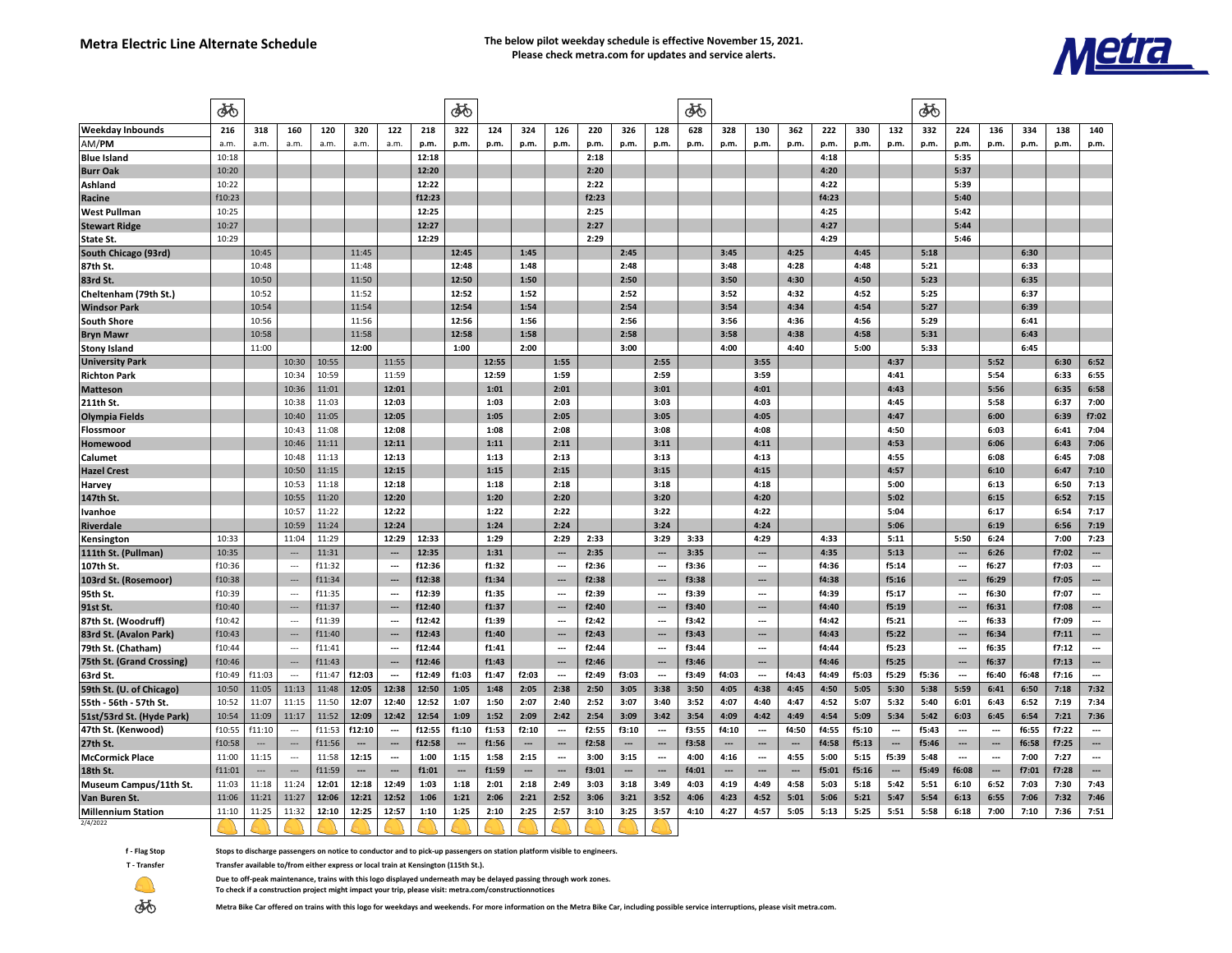## **Metra Electric Line Alternate Schedule The below pilot weekday schedule is effective November 15, 2021. Please check metra.com for updates and service alerts.**



|                           | dfo    |                          |                          |        |                          |                          |        | ණි                       |       |                          |                          |       |                          |                          | ൎ൴    |       |                          |                          |       |       |                          | ණි    |                          |       |       |       |                          |
|---------------------------|--------|--------------------------|--------------------------|--------|--------------------------|--------------------------|--------|--------------------------|-------|--------------------------|--------------------------|-------|--------------------------|--------------------------|-------|-------|--------------------------|--------------------------|-------|-------|--------------------------|-------|--------------------------|-------|-------|-------|--------------------------|
| <b>Weekday Inbounds</b>   | 216    | 318                      | 160                      | 120    | 320                      | 122                      | 218    | 322                      | 124   | 324                      | 126                      | 220   | 326                      | 128                      | 628   | 328   | 130                      | 362                      | 222   | 330   | 132                      | 332   | 224                      | 136   | 334   | 138   | 140                      |
| AM/PM                     | a.m.   | a.m.                     | a.m.                     | a.m.   | a.m.                     | a.m.                     | p.m.   | p.m.                     | p.m.  | p.m.                     | p.m.                     | p.m.  | p.m.                     | p.m.                     | p.m.  | p.m.  | p.m.                     | p.m.                     | p.m.  | p.m.  | p.m.                     | p.m.  | p.m.                     | p.m.  | p.m.  | p.m.  | p.m.                     |
| <b>Blue Island</b>        | 10:18  |                          |                          |        |                          |                          | 12:18  |                          |       |                          |                          | 2:18  |                          |                          |       |       |                          |                          | 4:18  |       |                          |       | 5:35                     |       |       |       |                          |
| <b>Burr Oak</b>           | 10:20  |                          |                          |        |                          |                          | 12:20  |                          |       |                          |                          | 2:20  |                          |                          |       |       |                          |                          | 4:20  |       |                          |       | 5:37                     |       |       |       |                          |
| Ashland                   | 10:22  |                          |                          |        |                          |                          | 12:22  |                          |       |                          |                          | 2:22  |                          |                          |       |       |                          |                          | 4:22  |       |                          |       | 5:39                     |       |       |       |                          |
| Racine                    | f10:23 |                          |                          |        |                          |                          | f12:23 |                          |       |                          |                          | f2:23 |                          |                          |       |       |                          |                          | f4:23 |       |                          |       | 5:40                     |       |       |       |                          |
| <b>West Pullman</b>       | 10:25  |                          |                          |        |                          |                          | 12:25  |                          |       |                          |                          | 2:25  |                          |                          |       |       |                          |                          | 4:25  |       |                          |       | 5:42                     |       |       |       |                          |
| <b>Stewart Ridge</b>      | 10:27  |                          |                          |        |                          |                          | 12:27  |                          |       |                          |                          | 2:27  |                          |                          |       |       |                          |                          | 4:27  |       |                          |       | 5:44                     |       |       |       |                          |
| State St.                 | 10:29  |                          |                          |        |                          |                          | 12:29  |                          |       |                          |                          | 2:29  |                          |                          |       |       |                          |                          | 4:29  |       |                          |       | 5:46                     |       |       |       |                          |
| South Chicago (93rd)      |        | 10:45                    |                          |        | 11:45                    |                          |        | 12:45                    |       | 1:45                     |                          |       | 2:45                     |                          |       | 3:45  |                          | 4:25                     |       | 4:45  |                          | 5:18  |                          |       | 6:30  |       |                          |
| 87th St.                  |        | 10:48                    |                          |        | 11:48                    |                          |        | 12:48                    |       | 1:48                     |                          |       | 2:48                     |                          |       | 3:48  |                          | 4:28                     |       | 4:48  |                          | 5:21  |                          |       | 6:33  |       |                          |
| 83rd St.                  |        | 10:50                    |                          |        | 11:50                    |                          |        | 12:50                    |       | 1:50                     |                          |       | 2:50                     |                          |       | 3:50  |                          | 4:30                     |       | 4:50  |                          | 5:23  |                          |       | 6:35  |       |                          |
| Cheltenham (79th St.)     |        | 10:52                    |                          |        | 11:52                    |                          |        | 12:52                    |       | 1:52                     |                          |       | 2:52                     |                          |       | 3:52  |                          | 4:32                     |       | 4:52  |                          | 5:25  |                          |       | 6:37  |       |                          |
| <b>Windsor Park</b>       |        | 10:54                    |                          |        | 11:54                    |                          |        | 12:54                    |       | 1:54                     |                          |       | 2:54                     |                          |       | 3:54  |                          | 4:34                     |       | 4:54  |                          | 5:27  |                          |       | 6:39  |       |                          |
| <b>South Shore</b>        |        | 10:56                    |                          |        | 11:56                    |                          |        | 12:56                    |       | 1:56                     |                          |       | 2:56                     |                          |       | 3:56  |                          | 4:36                     |       | 4:56  |                          | 5:29  |                          |       | 6:41  |       |                          |
| <b>Bryn Mawr</b>          |        | 10:58                    |                          |        | 11:58                    |                          |        | 12:58                    |       | 1:58                     |                          |       | 2:58                     |                          |       | 3:58  |                          | 4:38                     |       | 4:58  |                          | 5:31  |                          |       | 6:43  |       |                          |
| <b>Stony Island</b>       |        | 11:00                    |                          |        | 12:00                    |                          |        | 1:00                     |       | 2:00                     |                          |       | 3:00                     |                          |       | 4:00  |                          | 4:40                     |       | 5:00  |                          | 5:33  |                          |       | 6:45  |       |                          |
| <b>University Park</b>    |        |                          | 10:30                    | 10:55  |                          | 11:55                    |        |                          | 12:55 |                          | 1:55                     |       |                          | 2:55                     |       |       | 3:55                     |                          |       |       | 4:37                     |       |                          | 5:52  |       | 6:30  | 6:52                     |
| <b>Richton Park</b>       |        |                          | 10:34                    | 10:59  |                          | 11:59                    |        |                          | 12:59 |                          | 1:59                     |       |                          | 2:59                     |       |       | 3:59                     |                          |       |       | 4:41                     |       |                          | 5:54  |       | 6:33  | 6:55                     |
| <b>Matteson</b>           |        |                          | 10:36                    | 11:01  |                          | 12:01                    |        |                          | 1:01  |                          | 2:01                     |       |                          | 3:01                     |       |       | 4:01                     |                          |       |       | 4:43                     |       |                          | 5:56  |       | 6:35  | 6:58                     |
| 211th St.                 |        |                          | 10:38                    | 11:03  |                          | 12:03                    |        |                          | 1:03  |                          | 2:03                     |       |                          | 3:03                     |       |       | 4:03                     |                          |       |       | 4:45                     |       |                          | 5:58  |       | 6:37  | 7:00                     |
| <b>Olympia Fields</b>     |        |                          | 10:40                    | 11:05  |                          | 12:05                    |        |                          | 1:05  |                          | 2:05                     |       |                          | 3:05                     |       |       | 4:05                     |                          |       |       | 4:47                     |       |                          | 6:00  |       | 6:39  | f7:02                    |
| Flossmoor                 |        |                          | 10:43                    | 11:08  |                          | 12:08                    |        |                          | 1:08  |                          | 2:08                     |       |                          | 3:08                     |       |       | 4:08                     |                          |       |       | 4:50                     |       |                          | 6:03  |       | 6:41  | 7:04                     |
| Homewood                  |        |                          | 10:46                    | 11:11  |                          | 12:11                    |        |                          | 1:11  |                          | 2:11                     |       |                          | 3:11                     |       |       | 4:11                     |                          |       |       | 4:53                     |       |                          | 6:06  |       | 6:43  | 7:06                     |
| Calumet                   |        |                          | 10:48                    | 11:13  |                          | 12:13                    |        |                          | 1:13  |                          | 2:13                     |       |                          | 3:13                     |       |       | 4:13                     |                          |       |       | 4:55                     |       |                          | 6:08  |       | 6:45  | 7:08                     |
| <b>Hazel Crest</b>        |        |                          | 10:50                    | 11:15  |                          | 12:15                    |        |                          | 1:15  |                          | 2:15                     |       |                          | 3:15                     |       |       | 4:15                     |                          |       |       | 4:57                     |       |                          | 6:10  |       | 6:47  | 7:10                     |
| Harvey                    |        |                          | 10:53                    | 11:18  |                          | 12:18                    |        |                          | 1:18  |                          | 2:18                     |       |                          | 3:18                     |       |       | 4:18                     |                          |       |       | 5:00                     |       |                          | 6:13  |       | 6:50  | 7:13                     |
| <b>147th St</b>           |        |                          | 10:55                    | 11:20  |                          | 12:20                    |        |                          | 1:20  |                          | 2:20                     |       |                          | 3:20                     |       |       | 4:20                     |                          |       |       | 5:02                     |       |                          | 6:15  |       | 6:52  | 7:15                     |
| Ivanhoe                   |        |                          | 10:57                    | 11:22  |                          | 12:22                    |        |                          | 1:22  |                          | 2:22                     |       |                          | 3:22                     |       |       | 4:22                     |                          |       |       | 5:04                     |       |                          | 6:17  |       | 6:54  | 7:17                     |
| <b>Riverdale</b>          |        |                          | 10:59                    | 11:24  |                          | 12:24                    |        |                          | 1:24  |                          | 2:24                     |       |                          | 3:24                     |       |       | 4:24                     |                          |       |       | 5:06                     |       |                          | 6:19  |       | 6:56  | 7:19                     |
| Kensington                | 10:33  |                          | 11:04                    | 11:29  |                          | 12:29                    | 12:33  |                          | 1:29  |                          | 2:29                     | 2:33  |                          | 3:29                     | 3:33  |       | 4:29                     |                          | 4:33  |       | 5:11                     |       | 5:50                     | 6:24  |       | 7:00  | 7:23                     |
| 111th St. (Pullman)       | 10:35  |                          | $\overline{\phantom{a}}$ | 11:31  |                          | ---                      | 12:35  |                          | 1:31  |                          | ---                      | 2:35  |                          | ---                      | 3:35  |       | ---                      |                          | 4:35  |       | 5:13                     |       | <b></b>                  | 6:26  |       | f7:02 | $\overline{\phantom{a}}$ |
| 107th St.                 | f10:36 |                          | $\sim$                   | f11:32 |                          | $\overline{\phantom{a}}$ | f12:36 |                          | f1:32 |                          | $\overline{\phantom{a}}$ | f2:36 |                          | $\overline{\phantom{a}}$ | f3:36 |       | $\overline{\phantom{a}}$ |                          | f4:36 |       | f5:14                    |       | $\overline{\phantom{a}}$ | f6:27 |       | f7:03 | $\overline{\phantom{a}}$ |
| 103rd St. (Rosemoor)      | f10:38 |                          | $\overline{\phantom{a}}$ | f11:34 |                          | ---                      | f12:38 |                          | f1:34 |                          | <u></u>                  | f2:38 |                          | ---                      | f3:38 |       | ---                      |                          | f4:38 |       | f5:16                    |       | <b></b>                  | f6:29 |       | f7:05 | $\overline{\phantom{a}}$ |
| 95th St.                  | f10:39 |                          | $\overline{a}$           | f11:35 |                          | $\overline{\phantom{a}}$ | f12:39 |                          | f1:35 |                          | $\overline{\phantom{a}}$ | f2:39 |                          | $\overline{\phantom{a}}$ | f3:39 |       | ---                      |                          | f4:39 |       | f5:17                    |       | ---                      | f6:30 |       | f7:07 | $\overline{\phantom{a}}$ |
| 91st St.                  | f10:40 |                          | $\sim$                   | f11:37 |                          | ---                      | f12:40 |                          | f1:37 |                          | ---                      | f2:40 |                          | ---                      | f3:40 |       | ---                      |                          | f4:40 |       | f5:19                    |       | ---                      | f6:31 |       | f7:08 | ---                      |
| 87th St. (Woodruff)       | f10:42 |                          | $\sim$ $\sim$            | f11:39 |                          | $\overline{\phantom{a}}$ | f12:42 |                          | f1:39 |                          | $\overline{\phantom{a}}$ | f2:42 |                          | $\overline{\phantom{a}}$ | f3:42 |       | $\overline{\phantom{a}}$ |                          | f4:42 |       | f5:21                    |       | $\overline{\phantom{a}}$ | f6:33 |       | f7:09 | $\overline{\phantom{a}}$ |
| 83rd St. (Avalon Park)    | f10:43 |                          | $\overline{\phantom{a}}$ | f11:40 |                          | ---                      | f12:43 |                          | f1:40 |                          | ---                      | f2:43 |                          | $\overline{\phantom{a}}$ | f3:43 |       | ---                      |                          | f4:43 |       | f5:22                    |       | $\overline{\phantom{a}}$ | f6:34 |       | f7:11 | $\overline{\phantom{a}}$ |
| 79th St. (Chatham)        | f10:44 |                          | $\overline{a}$           | f11:41 |                          | $\overline{a}$           | f12:44 |                          | f1:41 |                          | $\overline{\phantom{a}}$ | f2:44 |                          | $\overline{\phantom{a}}$ | f3:44 |       | ---                      |                          | f4:44 |       | f5:23                    |       | $\overline{\phantom{a}}$ | f6:35 |       | f7:12 | $\overline{\phantom{a}}$ |
| 75th St. (Grand Crossing) | f10:46 |                          | $\sim$                   | f11:43 |                          | <u></u>                  | f12:46 |                          | f1:43 |                          | ---                      | f2:46 |                          | ---                      | f3:46 |       | ---                      |                          | f4:46 |       | f5:25                    |       | $\overline{\phantom{a}}$ | f6:37 |       | f7:13 | ---                      |
| 63rd St.                  | f10:49 | f11:03                   | $\sim$                   | f11:47 | f12:03                   | $\overline{\phantom{a}}$ | f12:49 | f1:03                    | f1:47 | f2:03                    | $\overline{\phantom{a}}$ | f2:49 | f3:03                    | $\overline{\phantom{a}}$ | f3:49 | f4:03 | $\overline{\phantom{a}}$ | f4:43                    | f4:49 | f5:03 | f5:29                    | f5:36 | ---                      | f6:40 | f6:48 | f7:16 | $\overline{\phantom{a}}$ |
| 59th St. (U. of Chicago)  | 10:50  | 11:05                    | 11:13                    | 11:48  | 12:05                    | 12:38                    | 12:50  | 1:05                     | 1:48  | 2:05                     | 2:38                     | 2:50  | 3:05                     | 3:38                     | 3:50  | 4:05  | 4:38                     | 4:45                     | 4:50  | 5:05  | 5:30                     | 5:38  | 5:59                     | 6:41  | 6:50  | 7:18  | 7:32                     |
| 55th - 56th - 57th St.    | 10:52  | 11:07                    | 11:15                    | 11:50  | 12:07                    | 12:40                    | 12:52  | 1:07                     | 1:50  | 2:07                     | 2:40                     | 2:52  | 3:07                     | 3:40                     | 3:52  | 4:07  | 4:40                     | 4:47                     | 4:52  | 5:07  | 5:32                     | 5:40  | 6:01                     | 6:43  | 6:52  | 7:19  | 7:34                     |
| 51st/53rd St. (Hyde Park) | 10:54  | 11:09                    | 11:17                    | 11:52  | 12:09                    | 12:42                    | 12:54  | 1:09                     | 1:52  | 2:09                     | 2:42                     | 2:54  | 3:09                     | 3:42                     | 3:54  | 4:09  | 4:42                     | 4:49                     | 4:54  | 5:09  | 5:34                     | 5:42  | 6:03                     | 6:45  | 6:54  | 7:21  | 7:36                     |
| 47th St. (Kenwood)        | f10:55 | f11:10                   | $\sim$                   | f11:53 | f12:10                   | $\hspace{0.05cm} \cdots$ | f12:55 | f1:10                    | f1:53 | f2:10                    | $\hspace{0.05cm} \ldots$ | f2:55 | f3:10                    | $\overline{\phantom{a}}$ | f3:55 | f4:10 | ---                      | f4:50                    | f4:55 | f5:10 | $\overline{\phantom{a}}$ | f5:43 | ---                      | ---   | f6:55 | f7:22 | $\overline{\phantom{a}}$ |
| 27th St.                  | f10:58 | $\cdots$                 | $\overline{\phantom{a}}$ | f11:56 | $\cdots$                 |                          | f12:58 | $\overline{\phantom{a}}$ | f1:56 | $\overline{\phantom{a}}$ | ---                      | f2:58 | $\overline{\phantom{a}}$ | $\overline{\phantom{a}}$ | f3:58 |       |                          | $\overline{\phantom{a}}$ | f4:58 | f5:13 | $\overline{\phantom{a}}$ | f5:46 | $\overline{\phantom{a}}$ | ---   | f6:58 | f7:25 | ---                      |
| <b>McCormick Place</b>    | 11:00  | 11:15                    | $\overline{\phantom{a}}$ | 11:58  | 12:15                    | $\overline{\phantom{a}}$ | 1:00   | 1:15                     | 1:58  | 2:15                     | ---                      | 3:00  | 3:15                     | ---                      | 4:00  | 4:16  | ---                      | 4:55                     | 5:00  | 5:15  | f5:39                    | 5:48  | $\overline{\phantom{a}}$ | ---   | 7:00  | 7:27  | $\overline{\phantom{a}}$ |
| 18th St.                  | f11:01 | $\overline{\phantom{a}}$ | $\sim$                   | f11:59 | $\overline{\phantom{a}}$ |                          | f1:01  | $\overline{\phantom{a}}$ | f1:59 | $\overline{\phantom{a}}$ |                          | f3:01 | ---                      | ---                      | f4:01 |       | ---                      | ---                      | f5:01 | f5:16 |                          | f5:49 | f6:08                    | ---   | f7:01 | f7:28 | $\hspace{0.05cm} \cdots$ |
| Museum Campus/11th St.    | 11:03  | 11:18                    | 11:24                    | 12:01  | 12:18                    | 12:49                    | 1:03   | 1:18                     | 2:01  | 2:18                     | 2:49                     | 3:03  | 3:18                     | 3:49                     | 4:03  | 4:19  | 4:49                     | 4:58                     | 5:03  | 5:18  | 5:42                     | 5:51  | 6:10                     | 6:52  | 7:03  | 7:30  | 7:43                     |
| Van Buren St.             | 11:06  | 11:21                    | 11:27                    | 12:06  | 12:21                    | 12:52                    | 1:06   | 1:21                     | 2:06  | 2:21                     | 2:52                     | 3:06  | 3:21                     | 3:52                     | 4:06  | 4:23  | 4:52                     | 5:01                     | 5:06  | 5:21  | 5:47                     | 5:54  | 6:13                     | 6:55  | 7:06  | 7:32  | 7:46                     |
| <b>Millennium Station</b> | 11:10  | 11:25                    | 11:32                    | 12:10  | 12:25                    | 12:57                    | 1:10   | 1:25                     | 2:10  | 2:25                     | 2:57                     | 3:10  | 3:25                     | 3:57                     | 4:10  | 4:27  | 4:57                     | 5:05                     | 5:13  | 5:25  | 5:51                     | 5:58  | 6:18                     | 7:00  | 7:10  | 7:36  | 7:51                     |
| 2/4/2022                  |        |                          |                          |        |                          |                          |        |                          |       |                          |                          |       |                          |                          |       |       |                          |                          |       |       |                          |       |                          |       |       |       |                          |

**f - Flag Stop T - Transfer**

 **Stops to discharge passengers on notice to conductor and to pick-up passengers on station platform visible to engineers.**

 **Transfer available to/from either express or local train at Kensington (115th St.).**

 **Due to off-peak maintenance, trains with this logo displayed underneath may be delayed passing through work zones. To check if a construction project might impact your trip, please visit: metra.com/constructionnotices**

 $\frac{1}{\delta \phi}$ 

 **Metra Bike Car offered on trains with this logo for weekdays and weekends. For more information on the Metra Bike Car, including possible service interruptions, please visit metra.com.**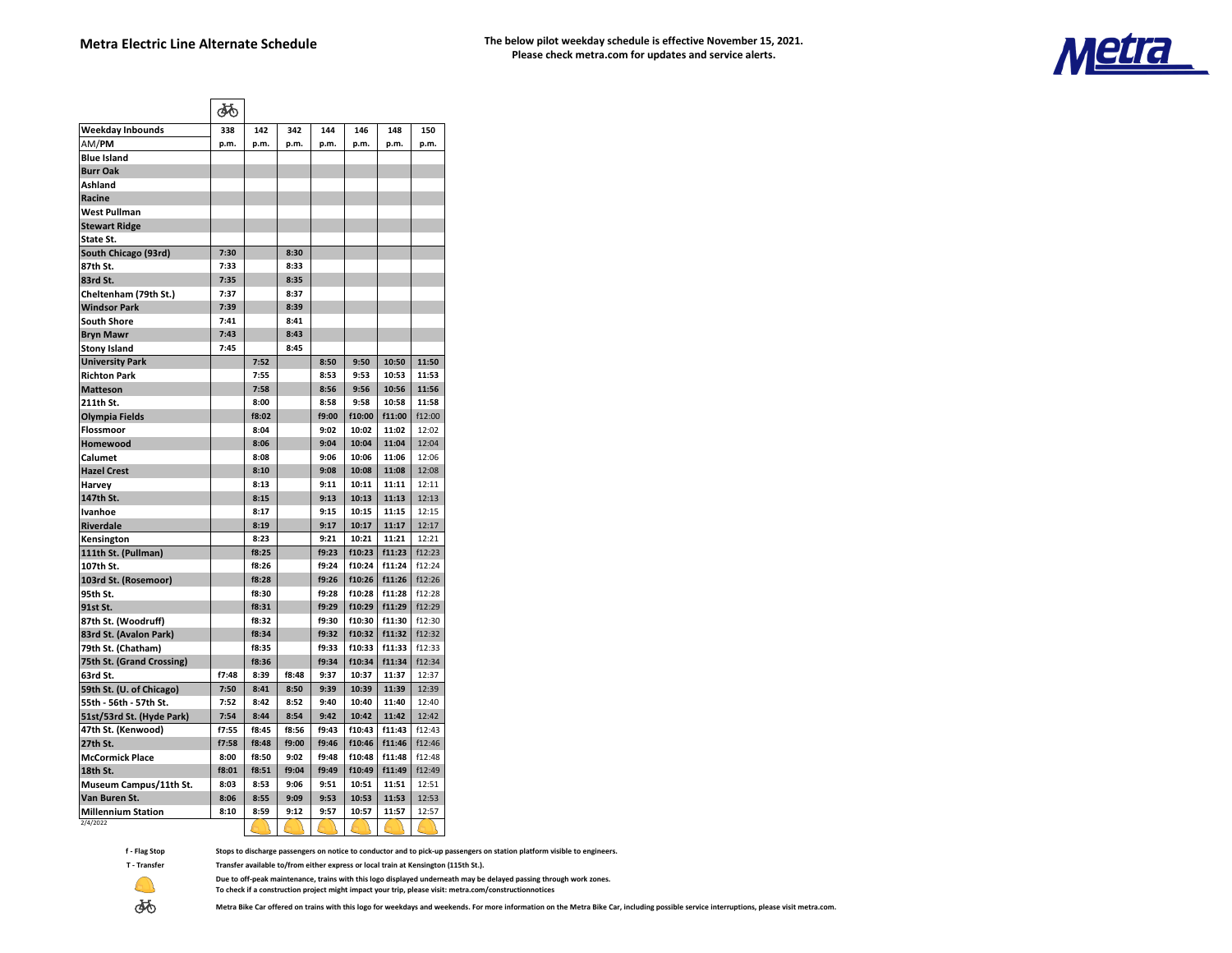**Metra Electric Line Alternate Schedule The below pilot weekday schedule is effective November 15, 2021. Please check metra.com for updates and service alerts.** 



|                           | ക്ക   |       |       |       |        |        |        |
|---------------------------|-------|-------|-------|-------|--------|--------|--------|
| <b>Weekday Inbounds</b>   | 338   | 142   | 342   | 144   | 146    | 148    | 150    |
| AM/PM                     | p.m.  | p.m.  | p.m.  | p.m.  | p.m.   | p.m.   | p.m.   |
| <b>Blue Island</b>        |       |       |       |       |        |        |        |
| <b>Burr Oak</b>           |       |       |       |       |        |        |        |
| Ashland                   |       |       |       |       |        |        |        |
| Racine                    |       |       |       |       |        |        |        |
| <b>West Pullman</b>       |       |       |       |       |        |        |        |
| <b>Stewart Ridge</b>      |       |       |       |       |        |        |        |
| State St.                 |       |       |       |       |        |        |        |
| South Chicago (93rd)      | 7:30  |       | 8:30  |       |        |        |        |
| 87th St.                  | 7:33  |       | 8:33  |       |        |        |        |
| 83rd St.                  | 7:35  |       | 8:35  |       |        |        |        |
| Cheltenham (79th St.)     | 7:37  |       | 8:37  |       |        |        |        |
| <b>Windsor Park</b>       | 7:39  |       | 8:39  |       |        |        |        |
| South Shore               | 7:41  |       | 8:41  |       |        |        |        |
| <b>Bryn Mawr</b>          | 7:43  |       | 8:43  |       |        |        |        |
| <b>Stony Island</b>       | 7:45  |       | 8:45  |       |        |        |        |
| <b>University Park</b>    |       | 7:52  |       | 8:50  | 9:50   | 10:50  | 11:50  |
| <b>Richton Park</b>       |       | 7:55  |       | 8:53  | 9:53   | 10:53  | 11:53  |
| <b>Matteson</b>           |       | 7:58  |       | 8:56  | 9:56   | 10:56  | 11:56  |
| 211th St.                 |       | 8:00  |       | 8:58  | 9:58   | 10:58  | 11:58  |
| Olympia Fields            |       | f8:02 |       | f9:00 | f10:00 | f11:00 | f12:00 |
| Flossmoor                 |       | 8:04  |       | 9:02  | 10:02  | 11:02  | 12:02  |
| Homewood                  |       | 8:06  |       | 9:04  | 10:04  | 11:04  | 12:04  |
| Calumet                   |       | 8:08  |       | 9:06  | 10:06  | 11:06  | 12:06  |
| <b>Hazel Crest</b>        |       | 8:10  |       | 9:08  | 10:08  | 11:08  | 12:08  |
| Harvey                    |       | 8:13  |       | 9:11  | 10:11  | 11:11  | 12:11  |
| 147th St.                 |       | 8:15  |       | 9:13  | 10:13  | 11:13  | 12:13  |
| Ivanhoe                   |       | 8:17  |       | 9:15  | 10:15  | 11:15  | 12:15  |
| <b>Riverdale</b>          |       | 8:19  |       | 9:17  | 10:17  | 11:17  | 12:17  |
| Kensington                |       | 8:23  |       | 9:21  | 10:21  | 11:21  | 12:21  |
| 111th St. (Pullman)       |       | f8:25 |       | f9:23 | f10:23 | f11:23 | f12:23 |
| 107th St.                 |       | f8:26 |       | f9:24 | f10:24 | f11:24 | f12:24 |
| 103rd St. (Rosemoor)      |       | f8:28 |       | f9:26 | f10:26 | f11:26 | f12:26 |
| 95th St.                  |       | f8:30 |       | f9:28 | f10:28 | f11:28 | f12:28 |
| 91st St.                  |       | f8:31 |       | f9:29 | f10:29 | f11:29 | f12:29 |
| 87th St. (Woodruff)       |       | f8:32 |       | f9:30 | f10:30 | f11:30 | f12.30 |
| 83rd St. (Avalon Park)    |       | f8:34 |       | f9:32 | f10:32 | f11:32 | f12:32 |
| 79th St. (Chatham)        |       | f8:35 |       | f9:33 | f10:33 | f11:33 | f12:33 |
| 75th St. (Grand Crossing) |       | f8:36 |       | f9:34 | f10:34 | f11:34 | f12:34 |
| 63rd St.                  | f7:48 | 8:39  | f8:48 | 9:37  | 10:37  | 11:37  | 12:37  |
| 59th St. (U. of Chicago)  | 7:50  | 8:41  | 8:50  | 9:39  | 10:39  | 11:39  | 12:39  |
| 55th - 56th - 57th St.    | 7:52  | 8:42  | 8:52  | 9:40  | 10:40  | 11:40  | 12:40  |
| 51st/53rd St. (Hyde Park) | 7:54  | 8:44  | 8:54  | 9:42  | 10:42  | 11:42  | 12:42  |
| 47th St. (Kenwood)        | f7:55 | f8:45 | f8:56 | f9:43 | f10:43 | f11:43 | f12:43 |
| 27th St.                  | f7:58 | f8:48 | f9:00 | f9:46 | f10:46 | f11:46 | f12:46 |
| <b>McCormick Place</b>    | 8:00  | f8:50 | 9:02  | f9:48 | f10:48 | f11:48 | f12:48 |
| 18th St.                  | f8:01 | f8:51 | f9:04 | f9:49 | f10:49 | f11:49 | f12:49 |
| Museum Campus/11th St.    | 8:03  | 8:53  | 9:06  | 9:51  | 10:51  | 11:51  | 12:51  |
| Van Buren St.             | 8:06  | 8:55  | 9:09  | 9:53  | 10:53  | 11:53  | 12:53  |
| <b>Millennium Station</b> | 8:10  | 8:59  | 9:12  | 9:57  | 10:57  | 11:57  | 12:57  |
| 2/4/2022                  |       |       |       |       |        |        |        |

**f - Flag Stop**

**T - Transfer**

 **Stops to discharge passengers on notice to conductor and to pick-up passengers on station platform visible to engineers.**

 **Transfer available to/from either express or local train at Kensington (115th St.).**

 **Due to off-peak maintenance, trains with this logo displayed underneath may be delayed passing through work zones.** 

 **To check if a construction project might impact your trip, please visit: metra.com/constructionnotices**

 **Metra Bike Car offered on trains with this logo for weekdays and weekends. For more information on the Metra Bike Car, including possible service interruptions, please visit metra.com.**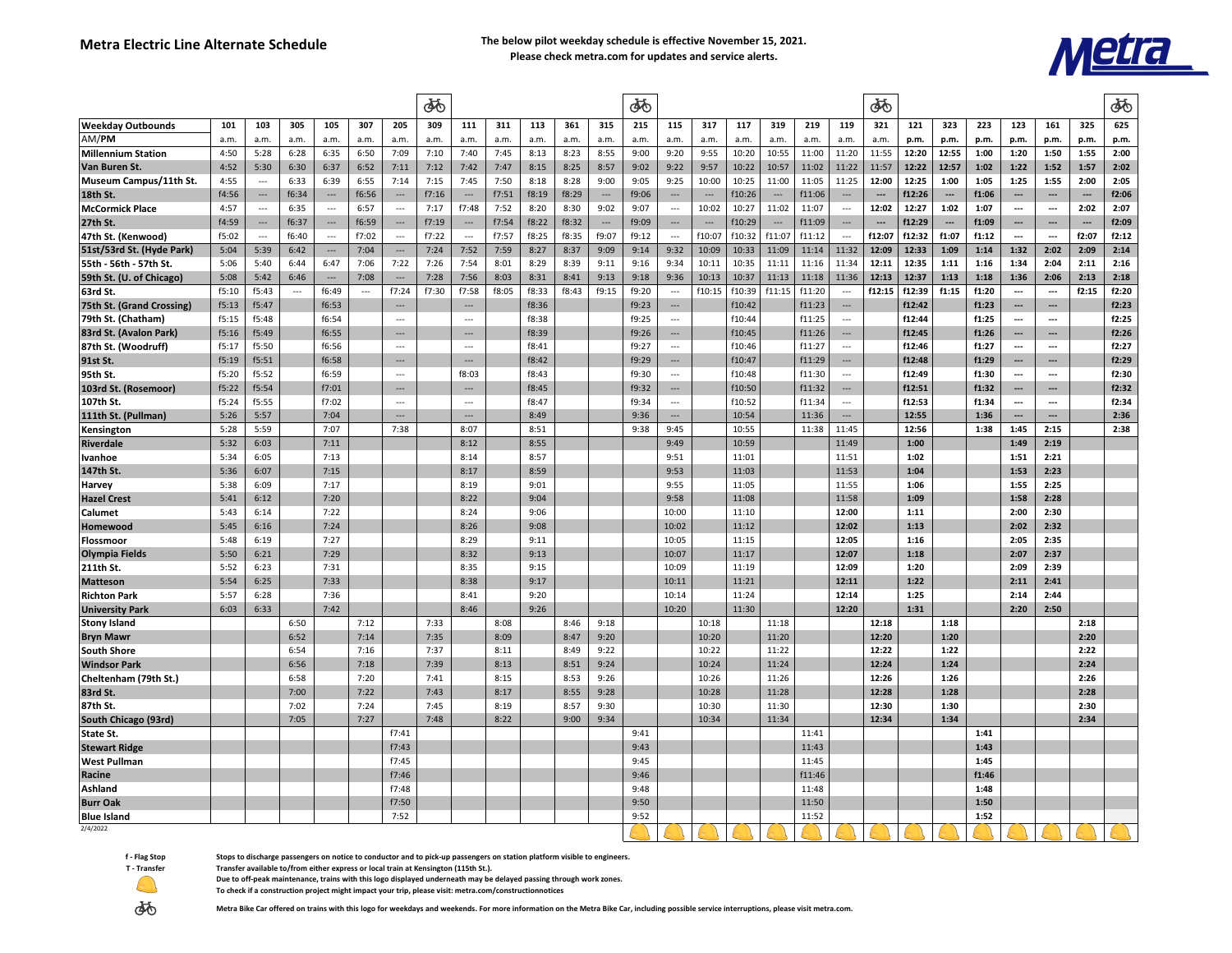#### **Metra Electric Line Alternate Schedule The below pilot weekday schedule is effective November 15, 2021. Please check metra.com for updates and service alerts.**



|                           |       |                          |          |                          |       |                          | ФÓ    |                          |       |       |       |                          | ණ්    |                          |                          |        |                          |        |                          | ௸                        |        |                          |       |                          |                          |                          | ණි    |
|---------------------------|-------|--------------------------|----------|--------------------------|-------|--------------------------|-------|--------------------------|-------|-------|-------|--------------------------|-------|--------------------------|--------------------------|--------|--------------------------|--------|--------------------------|--------------------------|--------|--------------------------|-------|--------------------------|--------------------------|--------------------------|-------|
| <b>Weekday Outbounds</b>  | 101   | 103                      | 305      | 105                      | 307   | 205                      | 309   | 111                      | 311   | 113   | 361   | 315                      | 215   | 115                      | 317                      | 117    | 319                      | 219    | 119                      | 321                      | 121    | 323                      | 223   | 123                      | 161                      | 325                      | 625   |
| AM/PM                     | a.m.  | a.m.                     | a.m.     | a.m.                     | a.m.  | a.m.                     | a.m.  | a.m.                     | a.m.  | a.m.  | a.m.  | a.m.                     | a.m.  | a.m.                     | a.m.                     | a.m.   | a.m.                     | a.m.   | a.m.                     | a.m.                     | p.m.   | p.m.                     | p.m.  | p.m.                     | p.m.                     | p.m.                     | p.m.  |
| <b>Millennium Station</b> | 4:50  | 5:28                     | 6:28     | 6:35                     | 6:50  | 7:09                     | 7:10  | 7:40                     | 7:45  | 8:13  | 8:23  | 8:55                     | 9:00  | 9:20                     | 9:55                     | 10:20  | 10:55                    | 11:00  | 11:20                    | 11:55                    | 12:20  | 12:55                    | 1:00  | 1:20                     | 1:50                     | 1:55                     | 2:00  |
| Van Buren St.             | 4:52  | 5:30                     | 6:30     | 6:37                     | 6:52  | 7:11                     | 7:12  | 7:42                     | 7:47  | 8:15  | 8:25  | 8:57                     | 9:02  | 9:22                     | 9:57                     | 10:22  | 10:57                    | 11:02  | 11:22                    | 11:57                    | 12:22  | 12:57                    | 1:02  | 1:22                     | 1:52                     | 1:57                     | 2:02  |
| Museum Campus/11th St.    | 4:55  | $\overline{\phantom{a}}$ | 6:33     | 6:39                     | 6:55  | 7:14                     | 7:15  | 7:45                     | 7:50  | 8:18  | 8:28  | 9:00                     | 9:05  | 9:25                     | 10:00                    | 10:25  | 11:00                    | 11:05  | 11:25                    | 12:00                    | 12:25  | 1:00                     | 1:05  | 1:25                     | 1:55                     | 2:00                     | 2:05  |
| 18th St.                  | f4:56 | $\cdots$                 | f6:34    | $\overline{\phantom{a}}$ | f6:56 | $---$                    | f7:16 | $\overline{\phantom{a}}$ | f7:51 | f8:19 | f8:29 | $\overline{\phantom{a}}$ | f9:06 | $\overline{\phantom{a}}$ | $\hspace{0.05cm} \cdots$ | f10:26 | $\cdots$                 | f11:06 | $\overline{\phantom{a}}$ | $\overline{\phantom{a}}$ | f12:26 | ---                      | f1:06 | $\overline{\phantom{a}}$ | $\overline{\phantom{a}}$ | $\overline{\phantom{a}}$ | f2:06 |
| <b>McCormick Place</b>    | 4:57  | ---                      | 6:35     | $\overline{\phantom{a}}$ | 6:57  | $\overline{\phantom{a}}$ | 7:17  | f7:48                    | 7:52  | 8:20  | 8:30  | 9:02                     | 9:07  | $\overline{\phantom{a}}$ | 10:02                    | 10:27  | 11:02                    | 11:07  | $\overline{\phantom{a}}$ | 12:02                    | 12:27  | 1:02                     | 1:07  | ---                      | $\overline{\phantom{a}}$ | 2:02                     | 2:07  |
| 27th St.                  | f4:59 | ---                      | f6:37    | ---                      | f6:59 | $\overline{\phantom{a}}$ | f7:19 | $\cdots$                 | f7:54 | f8:22 | f8:32 | $\hspace{0.05cm} \ldots$ | f9:09 | $\cdots$                 | $\hspace{0.05cm} \cdots$ | f10:29 | $\hspace{0.05cm} \cdots$ | f11:09 | ---                      | $\overline{\phantom{a}}$ | f12:29 | $\overline{\phantom{a}}$ | f1:09 | $\overline{\phantom{a}}$ |                          | ---                      | f2:09 |
| 47th St. (Kenwood)        | f5:02 | ---                      | f6:40    | ---                      | f7:02 | $\overline{\phantom{a}}$ | f7:22 | $\cdots$                 | f7:57 | f8:25 | f8:35 | f9:07                    | f9:12 | ---                      | f10:07                   | f10:32 | f11:07                   | f11:12 | $\ldots$                 | f12:07                   | f12:32 | f1:07                    | f1:12 | $\overline{\phantom{a}}$ | $\overline{\phantom{a}}$ | f2:07                    | f2:12 |
| 51st/53rd St. (Hyde Park) | 5:04  | 5:39                     | 6:42     | ---                      | 7:04  | $\hspace{0.05cm} \cdots$ | 7:24  | 7:52                     | 7:59  | 8:27  | 8:37  | 9:09                     | 9:14  | 9:32                     | 10:09                    | 10:33  | 11:09                    | 11:14  | 11:32                    | 12:09                    | 12:33  | 1:09                     | 1:14  | 1:32                     | 2:02                     | 2:09                     | 2:14  |
| 55th - 56th - 57th St.    | 5:06  | 5:40                     | 6:44     | 6:47                     | 7:06  | 7:22                     | 7:26  | 7:54                     | 8:01  | 8:29  | 8:39  | 9:11                     | 9:16  | 9:34                     | 10:11                    | 10:35  | 11:11                    | 11:16  | 11:34                    | 12:11                    | 12:35  | 1:11                     | 1:16  | 1:34                     | 2:04                     | 2:11                     | 2:16  |
| 59th St. (U. of Chicago)  | 5:08  | 5:42                     | 6:46     | $\overline{a}$           | 7:08  | $\overline{\phantom{a}}$ | 7:28  | 7:56                     | 8:03  | 8:31  | 8:41  | 9:13                     | 9:18  | 9:36                     | 10:13                    | 10:37  | 11:13                    | 11:18  | 11:36                    | 12:13                    | 12:37  | 1:13                     | 1:18  | 1:36                     | 2:06                     | 2:13                     | 2:18  |
| 63rd St.                  | f5:10 | f5:43                    | $\cdots$ | f6:49                    | ---   | f7:24                    | f7:30 | f7:58                    | f8:05 | f8:33 | f8:43 | f9:15                    | f9:20 | $\ldots$                 | f10:15                   | f10:39 | f11:15                   | f11:20 | $\ldots$                 | f12:15                   | f12:39 | f1:15                    | f1:20 | $\overline{\phantom{a}}$ | $\overline{\phantom{a}}$ | f2:15                    | f2:20 |
| 75th St. (Grand Crossing) | f5:13 | f5:47                    |          | f6:53                    |       |                          |       | $\overline{\phantom{a}}$ |       | f8:36 |       |                          | f9:23 | ---                      |                          | f10:42 |                          | f11:23 | ---                      |                          | f12:42 |                          | f1:23 | $\cdots$                 | $\overline{\phantom{a}}$ |                          | f2:23 |
| 79th St. (Chatham)        | f5:15 | f5:48                    |          | f6:54                    |       | $\hspace{0.05cm} \ldots$ |       | $\sim$                   |       | f8:38 |       |                          | f9:25 | $\ldots$                 |                          | f10:44 |                          | f11:25 | $\ldots$                 |                          | f12:44 |                          | f1:25 | $\overline{\phantom{a}}$ | $\hspace{0.05cm} \cdots$ |                          | f2:25 |
| 83rd St. (Avalon Park)    | f5:16 | f5:49                    |          | f6:55                    |       | $\overline{\phantom{a}}$ |       | ---                      |       | f8:39 |       |                          | f9:26 | ---                      |                          | f10:45 |                          | f11:26 | ---                      |                          | f12:45 |                          | f1:26 | ---                      | ---                      |                          | f2:26 |
| 87th St. (Woodruff)       | f5:17 | f5:50                    |          | f6:56                    |       | $\sim$                   |       | $\overline{a}$           |       | f8:41 |       |                          | f9:27 | $\overline{\phantom{a}}$ |                          | f10:46 |                          | f11:27 | $\overline{a}$           |                          | f12:46 |                          | f1:27 | $\overline{\phantom{a}}$ | ---                      |                          | f2:27 |
| 91st St.                  | f5:19 | f5:51                    |          | f6:58                    |       | $\overline{\phantom{a}}$ |       | ---                      |       | f8:42 |       |                          | f9:29 | ---                      |                          | f10:47 |                          | f11:29 | ---                      |                          | f12:48 |                          | f1:29 | $\cdots$                 | ---                      |                          | f2:29 |
| 95th St.                  | f5:20 | f5:52                    |          | f6:59                    |       | $\sim$                   |       | f8:03                    |       | f8:43 |       |                          | f9:30 | $\cdots$                 |                          | f10:48 |                          | f11:30 | $---$                    |                          | f12:49 |                          | f1:30 | $\overline{a}$           | ---                      |                          | f2:30 |
| 103rd St. (Rosemoor)      | f5:22 | f5:54                    |          | f7:01                    |       |                          |       | $\overline{\phantom{a}}$ |       | f8:45 |       |                          | f9:32 | ---                      |                          | f10:50 |                          | f11:32 | ---                      |                          | f12:51 |                          | f1:32 | $\hspace{0.05cm} \cdots$ | ---                      |                          | f2:32 |
| 107th St.                 | f5:24 | f5:55                    |          | f7:02                    |       | $\sim$                   |       | $\overline{\phantom{a}}$ |       | f8:47 |       |                          | f9:34 | ---                      |                          | f10:52 |                          | f11:34 | $\overline{a}$           |                          | f12:53 |                          | f1:34 | $\hspace{0.05cm} \ldots$ | ---                      |                          | f2:34 |
| 111th St. (Pullman)       | 5:26  | 5:57                     |          | 7:04                     |       | ---                      |       |                          |       | 8:49  |       |                          | 9:36  | ---                      |                          | 10:54  |                          | 11:36  | $\overline{a}$           |                          | 12:55  |                          | 1:36  | $\overline{a}$           | ---                      |                          | 2:36  |
| Kensington                | 5:28  | 5:59                     |          | 7:07                     |       | 7:38                     |       | 8:07                     |       | 8:51  |       |                          | 9:38  | 9:45                     |                          | 10:55  |                          | 11:38  | 11:45                    |                          | 12:56  |                          | 1:38  | 1:45                     | 2:15                     |                          | 2:38  |
| Riverdale                 | 5:32  | 6:03                     |          | 7:11                     |       |                          |       | 8:12                     |       | 8:55  |       |                          |       | 9:49                     |                          | 10:59  |                          |        | 11:49                    |                          | 1:00   |                          |       | 1:49                     | 2:19                     |                          |       |
| Ivanhoe                   | 5:34  | 6:05                     |          | 7:13                     |       |                          |       | 8:14                     |       | 8:57  |       |                          |       | 9:51                     |                          | 11:01  |                          |        | 11:51                    |                          | 1:02   |                          |       | 1:51                     | 2:21                     |                          |       |
| 147th St.                 | 5:36  | 6:07                     |          | 7:15                     |       |                          |       | 8:17                     |       | 8:59  |       |                          |       | 9:53                     |                          | 11:03  |                          |        | 11:53                    |                          | 1:04   |                          |       | 1:53                     | 2:23                     |                          |       |
| Harvey                    | 5:38  | 6:09                     |          | 7:17                     |       |                          |       | 8:19                     |       | 9:01  |       |                          |       | 9:55                     |                          | 11:05  |                          |        | 11:55                    |                          | 1:06   |                          |       | 1:55                     | 2:25                     |                          |       |
| <b>Hazel Crest</b>        | 5:41  | 6:12                     |          | 7:20                     |       |                          |       | 8:22                     |       | 9:04  |       |                          |       | 9:58                     |                          | 11:08  |                          |        | 11:58                    |                          | 1:09   |                          |       | 1:58                     | 2:28                     |                          |       |
| Calumet                   | 5:43  | 6:14                     |          | 7:22                     |       |                          |       | 8:24                     |       | 9:06  |       |                          |       | 10:00                    |                          | 11:10  |                          |        | 12:00                    |                          | 1:11   |                          |       | 2:00                     | 2:30                     |                          |       |
| Homewood                  | 5:45  | 6:16                     |          | 7:24                     |       |                          |       | 8:26                     |       | 9:08  |       |                          |       | 10:02                    |                          | 11:12  |                          |        | 12:02                    |                          | 1:13   |                          |       | 2:02                     | 2:32                     |                          |       |
| Flossmoor                 | 5:48  | 6:19                     |          | 7:27                     |       |                          |       | 8:29                     |       | 9:11  |       |                          |       | 10:05                    |                          | 11:15  |                          |        | 12:05                    |                          | 1:16   |                          |       | 2:05                     | 2:35                     |                          |       |
| Olympia Fields            | 5:50  | 6:21                     |          | 7:29                     |       |                          |       | 8:32                     |       | 9:13  |       |                          |       | 10:07                    |                          | 11:17  |                          |        | 12:07                    |                          | 1:18   |                          |       | 2:07                     | 2:37                     |                          |       |
| 211th St.                 | 5:52  | 6:23                     |          | 7:31                     |       |                          |       | 8:35                     |       | 9:15  |       |                          |       | 10:09                    |                          | 11:19  |                          |        | 12:09                    |                          | 1:20   |                          |       | 2:09                     | 2:39                     |                          |       |
| <b>Matteson</b>           | 5:54  | 6:25                     |          | 7:33                     |       |                          |       | 8:38                     |       | 9:17  |       |                          |       | 10:11                    |                          | 11:21  |                          |        | 12:11                    |                          | 1:22   |                          |       | 2:11                     | 2:41                     |                          |       |
| <b>Richton Park</b>       | 5:57  | 6:28                     |          | 7:36                     |       |                          |       | 8:41                     |       | 9:20  |       |                          |       | 10:14                    |                          | 11:24  |                          |        | 12:14                    |                          | 1:25   |                          |       | 2:14                     | 2:44                     |                          |       |
| <b>University Park</b>    | 6:03  | 6:33                     |          | 7:42                     |       |                          |       | 8:46                     |       | 9:26  |       |                          |       | 10:20                    |                          | 11:30  |                          |        | 12:20                    |                          | 1:31   |                          |       | 2:20                     | 2:50                     |                          |       |
| <b>Stony Island</b>       |       |                          | 6:50     |                          | 7:12  |                          | 7:33  |                          | 8:08  |       | 8:46  | 9:18                     |       |                          | 10:18                    |        | 11:18                    |        |                          | 12:18                    |        | 1:18                     |       |                          |                          | 2:18                     |       |
| <b>Bryn Mawr</b>          |       |                          | 6:52     |                          | 7:14  |                          | 7:35  |                          | 8:09  |       | 8:47  | 9:20                     |       |                          | 10:20                    |        | 11:20                    |        |                          | 12:20                    |        | 1:20                     |       |                          |                          | 2:20                     |       |
| <b>South Shore</b>        |       |                          | 6:54     |                          | 7:16  |                          | 7:37  |                          | 8:11  |       | 8:49  | 9:22                     |       |                          | 10:22                    |        | 11:22                    |        |                          | 12:22                    |        | 1:22                     |       |                          |                          | 2:22                     |       |
| <b>Windsor Park</b>       |       |                          | 6:56     |                          | 7:18  |                          | 7:39  |                          | 8:13  |       | 8:51  | 9:24                     |       |                          | 10:24                    |        | 11:24                    |        |                          | 12:24                    |        | 1:24                     |       |                          |                          | 2:24                     |       |
| Cheltenham (79th St.)     |       |                          | 6:58     |                          | 7:20  |                          | 7:41  |                          | 8:15  |       | 8:53  | 9:26                     |       |                          | 10:26                    |        | 11:26                    |        |                          | 12:26                    |        | 1:26                     |       |                          |                          | 2:26                     |       |
| 83rd St.                  |       |                          | 7:00     |                          | 7:22  |                          | 7:43  |                          | 8:17  |       | 8:55  | 9:28                     |       |                          | 10:28                    |        | 11:28                    |        |                          | 12:28                    |        | 1:28                     |       |                          |                          | 2:28                     |       |
| 87th St.                  |       |                          | 7:02     |                          | 7:24  |                          | 7:45  |                          | 8:19  |       | 8:57  | 9:30                     |       |                          | 10:30                    |        | 11:30                    |        |                          | 12:30                    |        | 1:30                     |       |                          |                          | 2:30                     |       |
| South Chicago (93rd)      |       |                          | 7:05     |                          | 7:27  |                          | 7:48  |                          | 8:22  |       | 9:00  | 9:34                     |       |                          | 10:34                    |        | 11:34                    |        |                          | 12:34                    |        | 1:34                     |       |                          |                          | 2:34                     |       |
| State St.                 |       |                          |          |                          |       | f7:41                    |       |                          |       |       |       |                          | 9:41  |                          |                          |        |                          | 11:41  |                          |                          |        |                          | 1:41  |                          |                          |                          |       |
| <b>Stewart Ridge</b>      |       |                          |          |                          |       | f7:43                    |       |                          |       |       |       |                          | 9:43  |                          |                          |        |                          | 11:43  |                          |                          |        |                          | 1:43  |                          |                          |                          |       |
| <b>West Pullman</b>       |       |                          |          |                          |       | f7:45                    |       |                          |       |       |       |                          | 9:45  |                          |                          |        |                          | 11:45  |                          |                          |        |                          | 1:45  |                          |                          |                          |       |
| Racine                    |       |                          |          |                          |       | f7:46                    |       |                          |       |       |       |                          | 9:46  |                          |                          |        |                          | f11:46 |                          |                          |        |                          | f1:46 |                          |                          |                          |       |
| Ashland                   |       |                          |          |                          |       | f7:48                    |       |                          |       |       |       |                          | 9:48  |                          |                          |        |                          | 11:48  |                          |                          |        |                          | 1:48  |                          |                          |                          |       |
| <b>Burr Oak</b>           |       |                          |          |                          |       | f7:50                    |       |                          |       |       |       |                          | 9:50  |                          |                          |        |                          | 11:50  |                          |                          |        |                          | 1:50  |                          |                          |                          |       |
| <b>Blue Island</b>        |       |                          |          |                          |       | 7:52                     |       |                          |       |       |       |                          | 9:52  |                          |                          |        |                          | 11:52  |                          |                          |        |                          | 1:52  |                          |                          |                          |       |
| 2/4/2022                  |       |                          |          |                          |       |                          |       |                          |       |       |       |                          |       |                          |                          |        |                          |        |                          |                          |        |                          |       |                          |                          |                          |       |

**f - Flag Stop Stops to discharge passengers on notice to conductor and to pick-up passengers on station platform visible to engineers.**

**T - Transfer Transfer available to/from either express or local train at Kensington (115th St.).**

 **Due to off-peak maintenance, trains with this logo displayed underneath may be delayed passing through work zones.** 

 **To check if a construction project might impact your trip, please visit: metra.com/constructionnotices**

**The State Cart of Act and The Cart offered on trains with this logo for weekdays and weekends. For more information on the Metra Bike Car, including possible service interruptions, please visit metra.com.**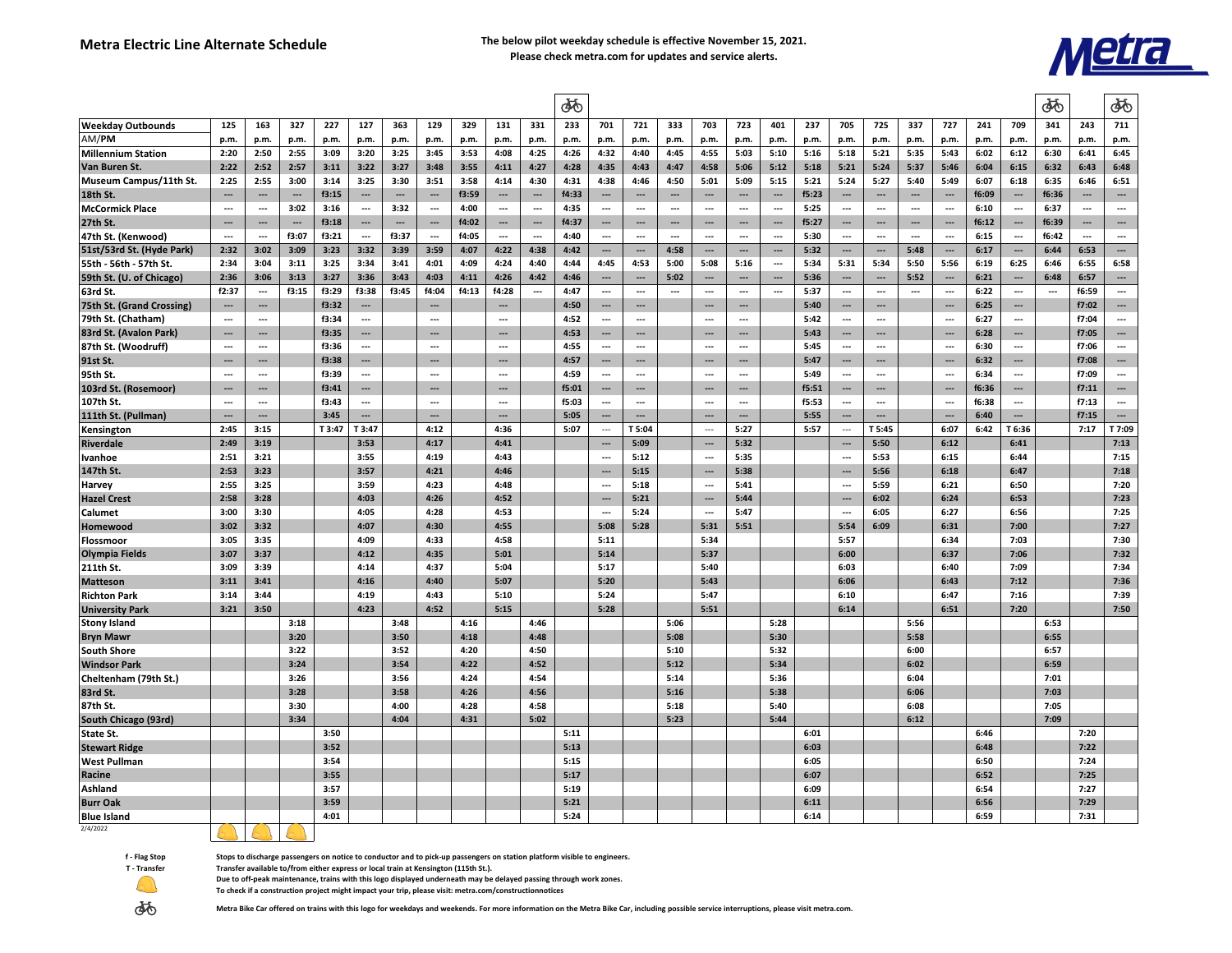# **Metra Electric Line Alternate Schedule The below pilot weekday schedule is effective November 15, 2021.**



**Please check metra.com for updates and service alerts.**

|                           |                          |                          |                          |        |        |                          |                          |       |                          |                          | ණි    |                          |                          |                          |                          |                          |      |       |                          |                          |                          |                          |       |                          | ණි    |                          | ණි                       |
|---------------------------|--------------------------|--------------------------|--------------------------|--------|--------|--------------------------|--------------------------|-------|--------------------------|--------------------------|-------|--------------------------|--------------------------|--------------------------|--------------------------|--------------------------|------|-------|--------------------------|--------------------------|--------------------------|--------------------------|-------|--------------------------|-------|--------------------------|--------------------------|
| <b>Weekday Outbounds</b>  | 125                      | 163                      | 327                      | 227    | 127    | 363                      | 129                      | 329   | 131                      | 331                      | 233   | 701                      | 721                      | 333                      | 703                      | 723                      | 401  | 237   | 705                      | 725                      | 337                      | 727                      | 241   | 709                      | 341   | 243                      | 711                      |
| AM/PM                     | p.m.                     | p.m.                     | p.m.                     | p.m.   | p.m.   | p.m.                     | p.m.                     | p.m.  | p.m.                     | p.m.                     | p.m.  | p.m.                     | p.m.                     | p.m.                     | p.m.                     | p.m.                     | p.m. | p.m.  | p.m.                     | p.m.                     | p.m.                     | p.m.                     | p.m.  | p.m.                     | p.m.  | p.m.                     | p.m.                     |
| <b>Millennium Station</b> | 2:20                     | 2:50                     | 2:55                     | 3:09   | 3:20   | 3:25                     | 3:45                     | 3:53  | 4:08                     | 4:25                     | 4:26  | 4:32                     | 4:40                     | 4:45                     | 4:55                     | 5:03                     | 5:10 | 5:16  | 5:18                     | 5:21                     | 5:35                     | 5:43                     | 6:02  | 6:12                     | 6:30  | 6:41                     | 6:45                     |
| Van Buren St.             | 2:22                     | 2:52                     | 2:57                     | 3:11   | 3:22   | 3:27                     | 3:48                     | 3:55  | 4:11                     | 4:27                     | 4:28  | 4:35                     | 4:43                     | 4:47                     | 4:58                     | 5:06                     | 5:12 | 5:18  | 5:21                     | 5:24                     | 5:37                     | 5:46                     | 6:04  | 6:15                     | 6:32  | 6:43                     | 6:48                     |
| Museum Campus/11th St.    | 2:25                     | 2:55                     | 3:00                     | 3:14   | 3:25   | 3:30                     | 3:51                     | 3:58  | 4:14                     | 4:30                     | 4:31  | 4:38                     | 4:46                     | 4:50                     | 5:01                     | 5:09                     | 5:15 | 5:21  | 5:24                     | 5:27                     | 5:40                     | 5:49                     | 6:07  | 6:18                     | 6:35  | 6:46                     | 6:51                     |
| 18th St.                  | $\overline{\phantom{a}}$ | $\qquad \qquad \cdots$   | $\overline{\phantom{a}}$ | f3:15  | ---    | ---                      | $\overline{\phantom{a}}$ | f3:59 | $\overline{\phantom{a}}$ | $\overline{\phantom{a}}$ | f4:33 | $\qquad \qquad \cdots$   | ---                      | ---                      | ---                      | ---                      | ---  | f5:23 | ---                      | ---                      | $\overline{\phantom{a}}$ | ---                      | f6:09 | $\overline{\phantom{a}}$ | f6:36 |                          | $\overline{\phantom{a}}$ |
| <b>McCormick Place</b>    | $\overline{\phantom{a}}$ | ---                      | 3:02                     | 3:16   | ---    | 3:32                     | $\cdots$                 | 4:00  | $\overline{\phantom{a}}$ | $\cdots$                 | 4:35  | $\overline{\phantom{a}}$ | ---                      | ---                      | ---                      | ---                      | ---  | 5:25  | ---                      | ---                      | $\overline{\phantom{a}}$ | ---                      | 6:10  | $\cdots$                 | 6:37  | ---                      | $\cdots$                 |
| 27th St.                  | $\overline{\phantom{a}}$ | ---                      | $\overline{\phantom{a}}$ | f3:18  | ---    | $\overline{\phantom{a}}$ | $\hspace{0.05cm} \cdots$ | f4:02 | $\overline{\phantom{a}}$ | $\overline{\phantom{a}}$ | f4:37 | $\overline{\phantom{a}}$ | $\overline{\phantom{a}}$ | $\overline{\phantom{a}}$ | $\overline{\phantom{a}}$ | ---                      | ---  | f5:27 | ---                      | $\qquad \qquad \cdots$   | $\overline{\phantom{a}}$ | $\overline{a}$           | f6:12 | $\cdots$                 | f6:39 | $\overline{\phantom{a}}$ | $\hspace{0.05cm} \cdots$ |
| 47th St. (Kenwood)        | $\cdots$                 | $\ldots$                 | f3:07                    | f3:21  | ---    | f3:37                    | $\cdots$                 | f4:05 | $\cdots$                 | $\cdots$                 | 4:40  | ---                      | $\overline{\phantom{a}}$ | $\cdots$                 | $\overline{\phantom{a}}$ | ---                      | ---  | 5:30  | $\cdots$                 | $\overline{\phantom{a}}$ | $\cdots$                 | ---                      | 6:15  | $\cdots$                 | f6:42 | ---                      | $\cdots$                 |
| 51st/53rd St. (Hyde Park) | 2:32                     | 3:02                     | 3:09                     | 3:23   | 3:32   | 3:39                     | 3:59                     | 4:07  | 4:22                     | 4:38                     | 4:42  | $\overline{\phantom{a}}$ | $\hspace{1.5cm} \cdots$  | 4:58                     | $\overline{\phantom{a}}$ | $\overline{\phantom{a}}$ | ---  | 5:32  | ---                      | $\overline{\phantom{a}}$ | 5:48                     | $\cdots$                 | 6:17  | $\overline{\phantom{a}}$ | 6:44  | 6:53                     | $\overline{\phantom{m}}$ |
| 55th - 56th - 57th St.    | 2:34                     | 3:04                     | 3:11                     | 3:25   | 3:34   | 3:41                     | 4:01                     | 4:09  | 4:24                     | 4:40                     | 4:44  | 4:45                     | 4:53                     | 5:00                     | 5:08                     | 5:16                     | ---  | 5:34  | 5:31                     | 5:34                     | 5:50                     | 5:56                     | 6:19  | 6:25                     | 6:46  | 6:55                     | 6:58                     |
| 59th St. (U. of Chicago)  | 2:36                     | 3:06                     | 3:13                     | 3:27   | 3:36   | 3:43                     | 4:03                     | 4:11  | 4:26                     | 4:42                     | 4:46  | ---                      | $\overline{\phantom{a}}$ | 5:02                     | $\overline{\phantom{a}}$ | ---                      | ---  | 5:36  | $\overline{a}$           | ---                      | 5:52                     | ---                      | 6:21  | $\cdots$                 | 6:48  | 6:57                     | $\overline{\phantom{a}}$ |
| 63rd St.                  | f2:37                    | $\overline{\phantom{a}}$ | f3:15                    | f3:29  | f3:38  | f3:45                    | f4:04                    | f4:13 | f4:28                    | ---                      | 4:47  | $\overline{\phantom{a}}$ | ---                      | ---                      | $\overline{\phantom{a}}$ | ---                      | ---  | 5:37  | ---                      | ---                      | $\overline{\phantom{a}}$ | $\overline{\phantom{a}}$ | 6:22  | $\qquad \qquad \cdots$   | ---   | f6:59                    | ---                      |
| 75th St. (Grand Crossing) | $\overline{\phantom{a}}$ | ---                      |                          | f3:32  | ---    |                          | $\overline{\phantom{a}}$ |       |                          |                          | 4:50  | $\hspace{0.05cm} \cdots$ | ---                      |                          | $\overline{\phantom{a}}$ | ---                      |      | 5:40  | ---                      | ---                      |                          | ---                      | 6:25  | $\overline{\phantom{a}}$ |       | f7:02                    | $\overline{\phantom{a}}$ |
| 79th St. (Chatham)        | $\overline{\phantom{a}}$ | ---                      |                          | f3:34  | ---    |                          | $\overline{\phantom{a}}$ |       | $\overline{\phantom{a}}$ |                          | 4:52  | $\overline{\phantom{a}}$ | $\overline{\phantom{a}}$ |                          | $\overline{\phantom{a}}$ | ---                      |      | 5:42  | $\overline{\phantom{a}}$ | ---                      |                          | ---                      | 6:27  | $\overline{\phantom{a}}$ |       | f7:04                    | $\cdots$                 |
| 83rd St. (Avalon Park)    | $\overline{\phantom{a}}$ | ---                      |                          | f3:35  | ---    |                          | $\overline{\phantom{a}}$ |       | ---                      |                          | 4:53  | $\overline{\phantom{a}}$ | $\overline{\phantom{a}}$ |                          | $\overline{\phantom{a}}$ | ---                      |      | 5:43  | $\overline{\phantom{a}}$ | ---                      |                          | ---                      | 6:28  | $\cdots$                 |       | f7:05                    | ---                      |
| 87th St. (Woodruff)       | $\overline{\phantom{a}}$ | $\overline{\phantom{a}}$ |                          | f3:36  | ---    |                          | $\overline{\phantom{a}}$ |       | $\overline{\phantom{a}}$ |                          | 4:55  | $\overline{\phantom{a}}$ | $\overline{\phantom{a}}$ |                          | $\overline{\phantom{a}}$ | ---                      |      | 5:45  | ---                      | ---                      |                          | $\overline{\phantom{a}}$ | 6:30  | $\overline{\phantom{a}}$ |       | f7:06                    | $\overline{\phantom{a}}$ |
| 91st St.                  | $---$                    | $---$                    |                          | f3:38  | ---    |                          | ---                      |       | $\sim$                   |                          | 4:57  | $\overline{\phantom{a}}$ | $\overline{\phantom{a}}$ |                          | $\overline{\phantom{a}}$ | ---                      |      | 5:47  | $---$                    | ---                      |                          | ---                      | 6:32  | $\overline{\phantom{a}}$ |       | f7:08                    | $\overline{\phantom{a}}$ |
| 95th St.                  | $\overline{\phantom{a}}$ | ---                      |                          | f3:39  | ---    |                          | $\cdots$                 |       | $\overline{\phantom{a}}$ |                          | 4:59  | $\overline{\phantom{a}}$ | ---                      |                          | $\overline{\phantom{a}}$ | --                       |      | 5:49  | $\overline{\phantom{a}}$ | ---                      |                          | $\ldots$                 | 6:34  | $\cdots$                 |       | f7:09                    | $\cdots$                 |
| 103rd St. (Rosemoor)      | $\overline{\phantom{a}}$ |                          |                          | f3:41  | ---    |                          | $\overline{\phantom{a}}$ |       | --                       |                          | f5:01 | ---                      | ---                      |                          | $\sim$                   | ---                      |      | f5:51 | ---                      | ---                      |                          | ---                      | f6:36 | $\overline{\phantom{a}}$ |       | f7:11                    | $\overline{\phantom{m}}$ |
| 107th St.                 | $\overline{\phantom{a}}$ | $\overline{\phantom{a}}$ |                          | f3:43  | ---    |                          | $\overline{\phantom{a}}$ |       | $\overline{\phantom{a}}$ |                          | f5:03 | $\overline{\phantom{a}}$ | $\overline{\phantom{a}}$ |                          | $\overline{\phantom{a}}$ | ---                      |      | f5:53 | $\overline{\phantom{a}}$ | ---                      |                          | $\overline{\phantom{a}}$ | f6:38 | $\overline{\phantom{a}}$ |       | f7:13                    | $\overline{\phantom{a}}$ |
| 111th St. (Pullman)       | $\overline{\phantom{a}}$ | ---                      |                          | 3:45   | ---    |                          | $\overline{\phantom{a}}$ |       | $\overline{\phantom{a}}$ |                          | 5:05  | $\cdots$                 | $\overline{\phantom{a}}$ |                          | $\overline{\phantom{a}}$ | ---                      |      | 5:55  | ---                      | $\cdots$                 |                          | ---                      | 6:40  | $\cdots$                 |       | f7:15                    | $\cdots$                 |
| Kensington                | 2:45                     | 3:15                     |                          | T 3:47 | T 3:47 |                          | 4:12                     |       | 4:36                     |                          | 5:07  | $\ldots$                 | T 5:04                   |                          | $\sim$                   | 5:27                     |      | 5:57  | $\hspace{0.05cm} \ldots$ | T 5:45                   |                          | 6:07                     | 6:42  | T 6:36                   |       | 7:17                     | T 7:09                   |
| <b>Riverdale</b>          | 2:49                     | 3:19                     |                          |        | 3:53   |                          | 4:17                     |       | 4:41                     |                          |       | $\overline{a}$           | 5:09                     |                          | $\overline{\phantom{a}}$ | 5:32                     |      |       | ---                      | 5:50                     |                          | 6:12                     |       | 6:41                     |       |                          | 7:13                     |
| Ivanhoe                   | 2:51                     | 3:21                     |                          |        | 3:55   |                          | 4:19                     |       | 4:43                     |                          |       | $\overline{\phantom{a}}$ | 5:12                     |                          | $\overline{\phantom{a}}$ | 5:35                     |      |       | $\overline{\phantom{a}}$ | 5:53                     |                          | 6:15                     |       | 6:44                     |       |                          | 7:15                     |
| 147th St.                 | 2:53                     | 3:23                     |                          |        | 3:57   |                          | 4:21                     |       | 4:46                     |                          |       | $\overline{\phantom{a}}$ | 5:15                     |                          | $\cdots$                 | 5:38                     |      |       | ---                      | 5:56                     |                          | 6:18                     |       | 6:47                     |       |                          | 7:18                     |
| Harvey                    | 2:55                     | 3:25                     |                          |        | 3:59   |                          | 4:23                     |       | 4:48                     |                          |       | $\overline{\phantom{a}}$ | 5:18                     |                          | $\overline{\phantom{a}}$ | 5:41                     |      |       | $\cdots$                 | 5:59                     |                          | 6:21                     |       | 6:50                     |       |                          | 7:20                     |
| <b>Hazel Crest</b>        | 2:58                     | 3:28                     |                          |        | 4:03   |                          | 4:26                     |       | 4:52                     |                          |       | $\overline{a}$           | 5:21                     |                          | $\overline{\phantom{a}}$ | 5:44                     |      |       | ---                      | 6:02                     |                          | 6:24                     |       | 6:53                     |       |                          | 7:23                     |
| Calumet                   | 3:00                     | 3:30                     |                          |        | 4:05   |                          | 4:28                     |       | 4:53                     |                          |       | $\overline{\phantom{a}}$ | 5:24                     |                          | $\overline{\phantom{a}}$ | 5:47                     |      |       | $\sim$                   | 6:05                     |                          | 6:27                     |       | 6:56                     |       |                          | 7:25                     |
| Homewood                  | 3:02                     | 3:32                     |                          |        | 4:07   |                          | 4:30                     |       | 4:55                     |                          |       | 5:08                     | 5:28                     |                          | 5:31                     | 5:51                     |      |       | 5:54                     | 6:09                     |                          | 6:31                     |       | 7:00                     |       |                          | 7:27                     |
| Flossmoor                 | 3:05                     | 3:35                     |                          |        | 4:09   |                          | 4:33                     |       | 4:58                     |                          |       | 5:11                     |                          |                          | 5:34                     |                          |      |       | 5:57                     |                          |                          | 6:34                     |       | 7:03                     |       |                          | 7:30                     |
| <b>Olympia Fields</b>     | 3:07                     | 3:37                     |                          |        | 4:12   |                          | 4:35                     |       | 5:01                     |                          |       | 5:14                     |                          |                          | 5:37                     |                          |      |       | 6:00                     |                          |                          | 6:37                     |       | 7:06                     |       |                          | 7:32                     |
| 211th St.                 | 3:09                     | 3:39                     |                          |        | 4:14   |                          | 4:37                     |       | 5:04                     |                          |       | 5:17                     |                          |                          | 5:40                     |                          |      |       | 6:03                     |                          |                          | 6:40                     |       | 7:09                     |       |                          | 7:34                     |
| Matteson                  | 3:11                     | 3:41                     |                          |        | 4:16   |                          | 4:40                     |       | 5:07                     |                          |       | 5:20                     |                          |                          | 5:43                     |                          |      |       | 6:06                     |                          |                          | 6:43                     |       | 7:12                     |       |                          | 7:36                     |
| <b>Richton Park</b>       | 3:14                     | 3:44                     |                          |        | 4:19   |                          | 4:43                     |       | 5:10                     |                          |       | 5:24                     |                          |                          | 5:47                     |                          |      |       | 6:10                     |                          |                          | 6:47                     |       | 7:16                     |       |                          | 7:39                     |
| <b>University Park</b>    | 3:21                     | 3:50                     |                          |        | 4:23   |                          | 4:52                     |       | 5:15                     |                          |       | 5:28                     |                          |                          | 5:51                     |                          |      |       | 6:14                     |                          |                          | 6:51                     |       | 7:20                     |       |                          | 7:50                     |
| <b>Stony Island</b>       |                          |                          | 3:18                     |        |        | 3:48                     |                          | 4:16  |                          | 4:46                     |       |                          |                          | 5:06                     |                          |                          | 5:28 |       |                          |                          | 5:56                     |                          |       |                          | 6:53  |                          |                          |
| <b>Bryn Mawr</b>          |                          |                          | 3:20                     |        |        | 3:50                     |                          | 4:18  |                          | 4:48                     |       |                          |                          | 5:08                     |                          |                          | 5:30 |       |                          |                          | 5:58                     |                          |       |                          | 6:55  |                          |                          |
| <b>South Shore</b>        |                          |                          | 3:22                     |        |        | 3:52                     |                          | 4:20  |                          | 4:50                     |       |                          |                          | 5:10                     |                          |                          | 5:32 |       |                          |                          | 6:00                     |                          |       |                          | 6:57  |                          |                          |
| <b>Windsor Park</b>       |                          |                          | 3:24                     |        |        | 3:54                     |                          | 4:22  |                          | 4:52                     |       |                          |                          | 5:12                     |                          |                          | 5:34 |       |                          |                          | 6:02                     |                          |       |                          | 6:59  |                          |                          |
| Cheltenham (79th St.)     |                          |                          | 3:26                     |        |        | 3:56                     |                          | 4:24  |                          | 4:54                     |       |                          |                          | 5:14                     |                          |                          | 5:36 |       |                          |                          | 6:04                     |                          |       |                          | 7:01  |                          |                          |
| 83rd St.                  |                          |                          | 3:28                     |        |        | 3:58                     |                          | 4:26  |                          | 4:56                     |       |                          |                          | 5:16                     |                          |                          | 5:38 |       |                          |                          | 6:06                     |                          |       |                          | 7:03  |                          |                          |
| 87th St.                  |                          |                          | 3:30                     |        |        | 4:00                     |                          | 4:28  |                          | 4:58                     |       |                          |                          | 5:18                     |                          |                          | 5:40 |       |                          |                          | 6:08                     |                          |       |                          | 7:05  |                          |                          |
| South Chicago (93rd)      |                          |                          | 3:34                     |        |        | 4:04                     |                          | 4:31  |                          | 5:02                     |       |                          |                          | 5:23                     |                          |                          | 5:44 |       |                          |                          | 6:12                     |                          |       |                          | 7:09  |                          |                          |
| State St.                 |                          |                          |                          | 3:50   |        |                          |                          |       |                          |                          | 5:11  |                          |                          |                          |                          |                          |      | 6:01  |                          |                          |                          |                          | 6:46  |                          |       | 7:20                     |                          |
| <b>Stewart Ridge</b>      |                          |                          |                          | 3:52   |        |                          |                          |       |                          |                          | 5:13  |                          |                          |                          |                          |                          |      | 6:03  |                          |                          |                          |                          | 6:48  |                          |       | 7:22                     |                          |
| <b>West Pullman</b>       |                          |                          |                          | 3:54   |        |                          |                          |       |                          |                          | 5:15  |                          |                          |                          |                          |                          |      | 6:05  |                          |                          |                          |                          | 6:50  |                          |       | 7:24                     |                          |
| Racine                    |                          |                          |                          | 3:55   |        |                          |                          |       |                          |                          | 5:17  |                          |                          |                          |                          |                          |      | 6:07  |                          |                          |                          |                          | 6:52  |                          |       | 7:25                     |                          |
| Ashland                   |                          |                          |                          | 3:57   |        |                          |                          |       |                          |                          | 5:19  |                          |                          |                          |                          |                          |      | 6:09  |                          |                          |                          |                          | 6:54  |                          |       | 7:27                     |                          |
| <b>Burr Oak</b>           |                          |                          |                          | 3:59   |        |                          |                          |       |                          |                          | 5:21  |                          |                          |                          |                          |                          |      | 6:11  |                          |                          |                          |                          | 6:56  |                          |       | 7:29                     |                          |
| <b>Blue Island</b>        |                          |                          |                          | 4:01   |        |                          |                          |       |                          |                          | 5:24  |                          |                          |                          |                          |                          |      | 6:14  |                          |                          |                          |                          | 6:59  |                          |       | 7:31                     |                          |
| 2/4/2022                  |                          |                          |                          |        |        |                          |                          |       |                          |                          |       |                          |                          |                          |                          |                          |      |       |                          |                          |                          |                          |       |                          |       |                          |                          |

**f - Flag Stop**

**T - Transfer**

 **Stops to discharge passengers on notice to conductor and to pick-up passengers on station platform visible to engineers.**

 **Transfer available to/from either express or local train at Kensington (115th St.).**

 **Due to off-peak maintenance, trains with this logo displayed underneath may be delayed passing through work zones.** 

 **To check if a construction project might impact your trip, please visit: metra.com/constructionnotices**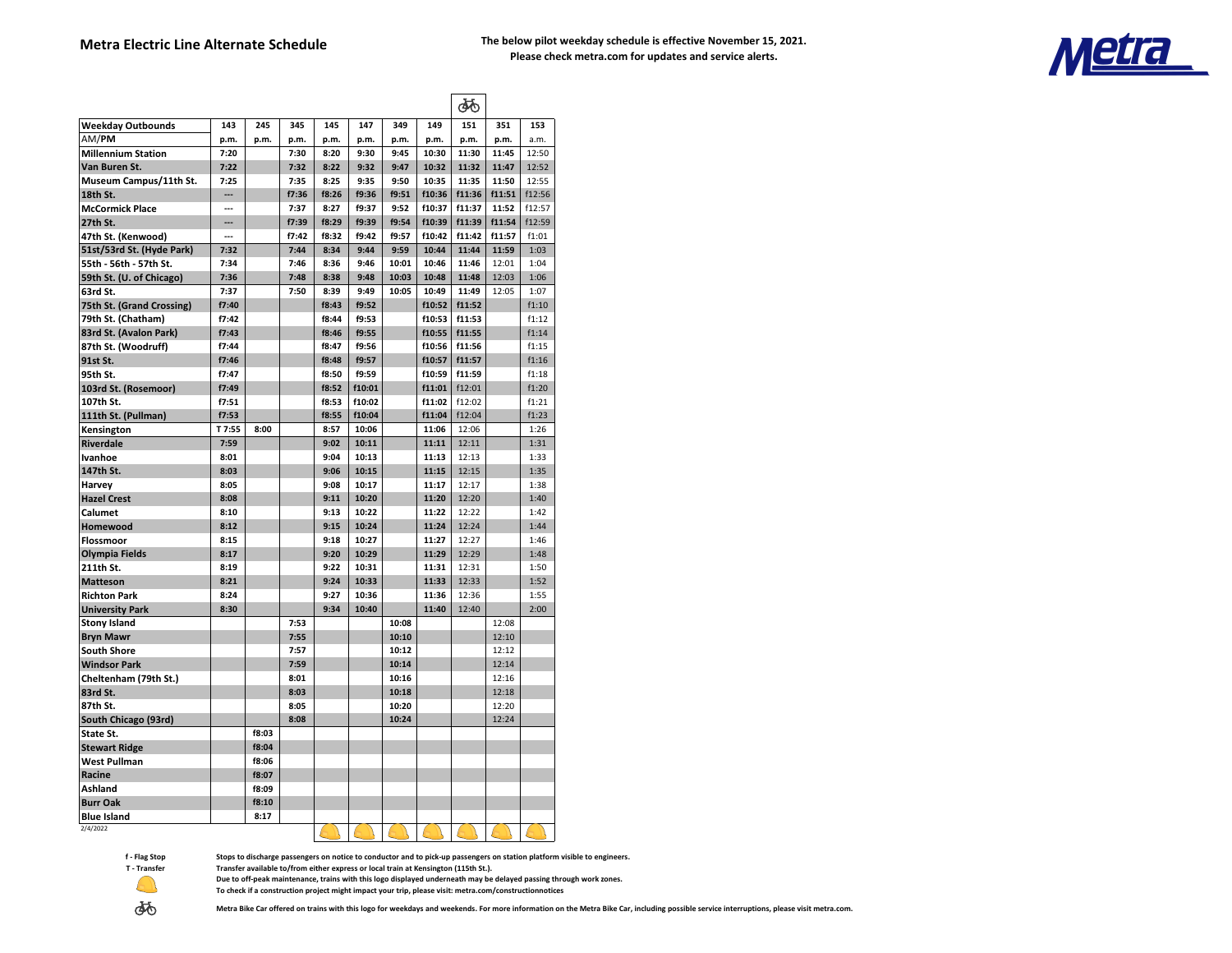

|                           |                |       |       |       |        |       |        | ණ්     |        |        |
|---------------------------|----------------|-------|-------|-------|--------|-------|--------|--------|--------|--------|
| <b>Weekday Outbounds</b>  | 143            | 245   | 345   | 145   | 147    | 349   | 149    | 151    | 351    | 153    |
| AM/PM                     | p.m.           | p.m.  | p.m.  | p.m.  | p.m.   | p.m.  | p.m.   | p.m.   | p.m.   | a.m.   |
| <b>Millennium Station</b> | 7:20           |       | 7:30  | 8:20  | 9:30   | 9:45  | 10:30  | 11:30  | 11:45  | 12:50  |
| Van Buren St.             | 7:22           |       | 7:32  | 8:22  | 9:32   | 9:47  | 10:32  | 11:32  | 11:47  | 12:52  |
| Museum Campus/11th St.    | 7:25           |       | 7:35  | 8:25  | 9:35   | 9:50  | 10:35  | 11:35  | 11:50  | 12:55  |
| 18th St.                  | ---            |       | f7:36 | f8:26 | f9:36  | f9:51 | f10:36 | f11:36 | f11:51 | f12:56 |
| <b>McCormick Place</b>    |                |       | 7:37  | 8:27  | f9:37  | 9:52  | f10:37 | f11:37 | 11:52  | f12:57 |
| 27th St.                  | ---            |       | f7:39 | f8:29 | f9:39  | f9:54 | f10:39 | f11:39 | f11:54 | f12:59 |
| 47th St. (Kenwood)        | $\overline{a}$ |       | f7:42 | f8:32 | f9:42  | f9:57 | f10:42 | f11:42 | f11:57 | f1:01  |
| 51st/53rd St. (Hyde Park) | 7:32           |       | 7:44  | 8:34  | 9:44   | 9:59  | 10:44  | 11:44  | 11:59  | 1:03   |
| 55th - 56th - 57th St.    | 7:34           |       | 7:46  | 8:36  | 9:46   | 10:01 | 10:46  | 11:46  | 12:01  | 1:04   |
| 59th St. (U. of Chicago)  | 7:36           |       | 7:48  | 8:38  | 9:48   | 10:03 | 10:48  | 11:48  | 12:03  | 1:06   |
| 63rd St.                  | 7:37           |       | 7:50  | 8:39  | 9:49   | 10:05 | 10:49  | 11:49  | 12:05  | 1:07   |
| 75th St. (Grand Crossing) | f7:40          |       |       | f8:43 | f9:52  |       | f10:52 | f11:52 |        | f1:10  |
| 79th St. (Chatham)        | f7:42          |       |       | f8:44 | f9:53  |       | f10:53 | f11:53 |        | f1:12  |
| 83rd St. (Avalon Park)    | f7:43          |       |       | f8:46 | f9:55  |       | f10:55 | f11:55 |        | f1:14  |
| 87th St. (Woodruff)       | f7:44          |       |       | f8:47 | f9:56  |       | f10:56 | f11:56 |        | f1:15  |
| 91st St.                  | f7:46          |       |       | f8:48 | f9:57  |       | f10:57 | f11:57 |        | f1:16  |
| 95th St.                  | f7:47          |       |       | f8:50 | f9:59  |       | f10:59 | f11:59 |        | f1:18  |
| 103rd St. (Rosemoor)      | f7:49          |       |       | f8:52 | f10:01 |       | f11:01 | f12:01 |        | f1:20  |
| 107th St.                 | f7:51          |       |       | f8:53 | f10:02 |       | f11:02 | f12:02 |        | f1:21  |
| 111th St. (Pullman)       | f7:53          |       |       | f8:55 | f10:04 |       | f11:04 | f12:04 |        | f1:23  |
| Kensington                | T 7:55         | 8:00  |       | 8:57  | 10:06  |       | 11:06  | 12:06  |        | 1:26   |
| <b>Riverdale</b>          | 7:59           |       |       | 9:02  | 10:11  |       | 11:11  | 12:11  |        | 1:31   |
| <b>Ivanhoe</b>            | 8:01           |       |       | 9:04  | 10:13  |       | 11:13  | 12:13  |        | 1:33   |
| 147th St.                 | 8:03           |       |       | 9:06  | 10:15  |       | 11:15  | 12:15  |        | 1:35   |
| Harvey                    | 8:05           |       |       | 9:08  | 10:17  |       | 11:17  | 12:17  |        | 1:38   |
| <b>Hazel Crest</b>        | 8:08           |       |       | 9:11  | 10:20  |       | 11:20  | 12:20  |        | 1:40   |
| Calumet                   | 8:10           |       |       | 9:13  | 10:22  |       | 11:22  | 12:22  |        | 1:42   |
| Homewood                  | 8:12           |       |       | 9:15  | 10:24  |       | 11:24  | 12:24  |        | 1:44   |
| Flossmoor                 | 8:15           |       |       | 9:18  | 10:27  |       | 11:27  | 12:27  |        | 1:46   |
| Olympia Fields            | 8:17           |       |       | 9:20  | 10:29  |       | 11:29  | 12:29  |        | 1:48   |
| 211th St.                 | 8:19           |       |       | 9:22  | 10:31  |       | 11:31  | 12:31  |        | 1:50   |
| <b>Matteson</b>           | 8:21           |       |       | 9:24  | 10:33  |       | 11:33  | 12:33  |        | 1:52   |
| <b>Richton Park</b>       | 8:24           |       |       | 9:27  | 10:36  |       | 11:36  | 12:36  |        | 1:55   |
| <b>University Park</b>    | 8:30           |       |       | 9:34  | 10:40  |       | 11:40  | 12:40  |        | 2:00   |
| Stony Island              |                |       | 7:53  |       |        | 10:08 |        |        | 12:08  |        |
| <b>Bryn Mawr</b>          |                |       | 7:55  |       |        | 10:10 |        |        | 12:10  |        |
| <b>South Shore</b>        |                |       | 7:57  |       |        | 10:12 |        |        | 12:12  |        |
| <b>Windsor Park</b>       |                |       | 7:59  |       |        | 10:14 |        |        | 12:14  |        |
| Cheltenham (79th St.)     |                |       | 8:01  |       |        | 10:16 |        |        | 12:16  |        |
| 83rd St.                  |                |       | 8:03  |       |        | 10:18 |        |        | 12:18  |        |
| 87th St.                  |                |       | 8:05  |       |        | 10:20 |        |        | 12:20  |        |
| South Chicago (93rd)      |                |       | 8:08  |       |        | 10:24 |        |        | 12:24  |        |
| State St.                 |                | f8:03 |       |       |        |       |        |        |        |        |
| <b>Stewart Ridge</b>      |                | f8:04 |       |       |        |       |        |        |        |        |
| <b>West Pullman</b>       |                | f8:06 |       |       |        |       |        |        |        |        |
| Racine                    |                | f8:07 |       |       |        |       |        |        |        |        |
| Ashland                   |                | f8:09 |       |       |        |       |        |        |        |        |
| <b>Burr Oak</b>           |                | f8:10 |       |       |        |       |        |        |        |        |
| <b>Blue Island</b>        |                | 8:17  |       |       |        |       |        |        |        |        |
| 2/4/2022                  |                |       |       |       |        |       |        |        |        |        |

 **Stops to discharge passengers on notice to conductor and to pick-up passengers on station platform visible to engineers.**

 **Transfer available to/from either express or local train at Kensington (115th St.).**

 **Due to off-peak maintenance, trains with this logo displayed underneath may be delayed passing through work zones.** 

 **To check if a construction project might impact your trip, please visit: metra.com/constructionnotices**

**f - Flag Stop T - Transfer**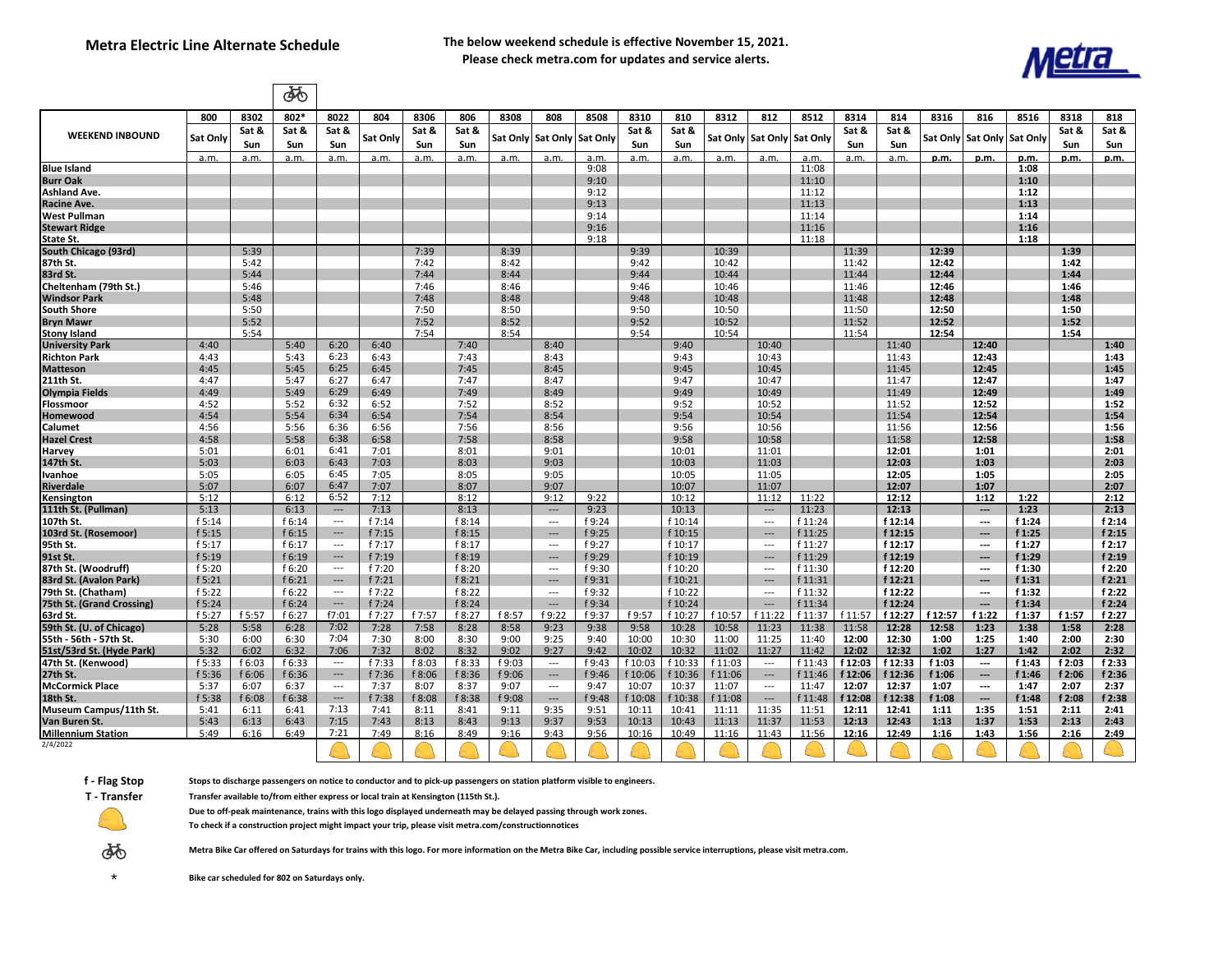# **Metra Electric Line Alternate Schedule The below weekend schedule is effective November 15, 2021. Please check metra.com for updates and service alerts.**



|                                   |                |        | ණි             |                                                      |                 |        |                |        |                                          |                 |         |                  |         |                                                      |                  |         |                  |         |                                                      |                 |        |                |
|-----------------------------------|----------------|--------|----------------|------------------------------------------------------|-----------------|--------|----------------|--------|------------------------------------------|-----------------|---------|------------------|---------|------------------------------------------------------|------------------|---------|------------------|---------|------------------------------------------------------|-----------------|--------|----------------|
|                                   | 800            | 8302   | 802*           | 8022                                                 | 804             | 8306   | 806            | 8308   | 808                                      | 8508            | 8310    | 810              | 8312    | 812                                                  | 8512             | 8314    | 814              | 8316    | 816                                                  | 8516            | 8318   | 818            |
|                                   |                | Sat &  | Sat &          | Sat &                                                |                 | Sat &  | Sat &          |        |                                          |                 | Sat &   | Sat &            |         |                                                      |                  | Sat &   | Sat &            |         |                                                      |                 | Sat &  | Sat &          |
| <b>WEEKEND INBOUND</b>            | Sat Onlv       | Sun    | Sun            | Sun                                                  | <b>Sat Only</b> | Sun    | Sun            |        | Sat Only Sat Only                        | <b>Sat Only</b> | Sun     | Sun              |         | Sat Only Sat Only                                    | <b>Sat Only</b>  | Sun     | Sun              |         | Sat Only Sat Only                                    | <b>Sat Only</b> | Sun    | Sun            |
|                                   |                |        |                |                                                      |                 |        |                |        |                                          |                 |         |                  |         |                                                      |                  |         |                  |         |                                                      |                 |        |                |
| <b>Blue Island</b>                | a.m.           | a.m.   | a.m.           | a.m.                                                 | a.m.            | a.m.   | a.m.           | a.m    | a.m.                                     | a.m.<br>9:08    | a.m.    | a.m.             | a.m.    | a.m.                                                 | a.m.<br>11:08    | a.m.    | a.m.             | p.m.    | p.m.                                                 | p.m.<br>1:08    | p.m.   | p.m.           |
| Burr Oak                          |                |        |                |                                                      |                 |        |                |        |                                          | 9:10            |         |                  |         |                                                      | 11:10            |         |                  |         |                                                      | 1:10            |        |                |
| Ashland Ave.                      |                |        |                |                                                      |                 |        |                |        |                                          | 9:12            |         |                  |         |                                                      | 11:12            |         |                  |         |                                                      | 1:12            |        |                |
| Racine Ave.                       |                |        |                |                                                      |                 |        |                |        |                                          | 9:13            |         |                  |         |                                                      | 11:13            |         |                  |         |                                                      | 1:13            |        |                |
| West Pullman                      |                |        |                |                                                      |                 |        |                |        |                                          | 9:14            |         |                  |         |                                                      | 11:14            |         |                  |         |                                                      | 1:14            |        |                |
| <b>Stewart Ridge</b>              |                |        |                |                                                      |                 |        |                |        |                                          | 9:16            |         |                  |         |                                                      | 11:16            |         |                  |         |                                                      | 1:16            |        |                |
| <b>State St.</b>                  |                |        |                |                                                      |                 |        |                |        |                                          | 9:18            |         |                  |         |                                                      | 11:18            |         |                  |         |                                                      | 1:18            |        |                |
| South Chicago (93rd)              |                | 5:39   |                |                                                      |                 | 7:39   |                | 8:39   |                                          |                 | 9:39    |                  | 10:39   |                                                      |                  | 11:39   |                  | 12:39   |                                                      |                 | 1:39   |                |
| 87th St.                          |                | 5:42   |                |                                                      |                 | 7:42   |                | 8:42   |                                          |                 | 9:42    |                  | 10:42   |                                                      |                  | 11:42   |                  | 12:42   |                                                      |                 | 1:42   |                |
| 83rd St.                          |                | 5:44   |                |                                                      |                 | 7:44   |                | 8:44   |                                          |                 | 9:44    |                  | 10:44   |                                                      |                  | 11:44   |                  | 12:44   |                                                      |                 | 1:44   |                |
| Cheltenham (79th St.)             |                | 5:46   |                |                                                      |                 | 7:46   |                | 8:46   |                                          |                 | 9:46    |                  | 10:46   |                                                      |                  | 11:46   |                  | 12:46   |                                                      |                 | 1:46   |                |
| <b>Windsor Park</b>               |                | 5:48   |                |                                                      |                 | 7:48   |                | 8:48   |                                          |                 | 9:48    |                  | 10:48   |                                                      |                  | 11:48   |                  | 12:48   |                                                      |                 | 1:48   |                |
| <b>South Shore</b>                |                | 5:50   |                |                                                      |                 | 7:50   |                | 8:50   |                                          |                 | 9:50    |                  | 10:50   |                                                      |                  | 11:50   |                  | 12:50   |                                                      |                 | 1:50   |                |
| Bryn Mawr                         |                | 5:52   |                |                                                      |                 | 7:52   |                | 8:52   |                                          |                 | 9:52    |                  | 10:52   |                                                      |                  | 11:52   |                  | 12:52   |                                                      |                 | 1:52   |                |
| <b>Stony Island</b>               |                | 5:54   |                |                                                      |                 | 7:54   |                | 8:54   |                                          |                 | 9:54    |                  | 10:54   |                                                      |                  | 11:54   |                  | 12:54   |                                                      |                 | 1:54   |                |
| <b>University Park</b>            | 4:40           |        | 5:40           | 6:20                                                 | 6:40            |        | 7:40           |        | 8:40                                     |                 |         | 9:40             |         | 10:40                                                |                  |         | 11:40            |         | 12:40                                                |                 |        | 1:40           |
| <b>Richton Park</b>               | 4:43           |        | 5:43           | 6:23                                                 | 6:43            |        | 7:43           |        | 8:43                                     |                 |         | 9:43             |         | 10:43                                                |                  |         | 11:43            |         | 12:43                                                |                 |        | 1:43           |
| <b>Matteson</b>                   | 4:45           |        | 5:45           | 6:25                                                 | 6:45            |        | 7:45           |        | 8:45                                     |                 |         | 9:45             |         | 10:45                                                |                  |         | 11:45            |         | 12:45                                                |                 |        | 1:45           |
| 211th St.                         | 4:47           |        | 5:47           | 6:27                                                 | 6:47            |        | 7:47           |        | 8:47                                     |                 |         | 9:47             |         | 10:47                                                |                  |         | 11:47            |         | 12:47                                                |                 |        | 1:47           |
| Olympia Fields                    | 4:49           |        | 5:49           | 6:29                                                 | 6:49            |        | 7:49           |        | 8:49                                     |                 |         | 9:49             |         | 10:49                                                |                  |         | 11:49            |         | 12:49                                                |                 |        | 1:49           |
| Flossmoor                         | 4:52           |        | 5:52           | 6:32                                                 | 6:52            |        | 7:52           |        | 8:52                                     |                 |         | 9:52             |         | 10:52                                                |                  |         | 11:52            |         | 12:52                                                |                 |        | 1:52           |
| Homewood                          | 4:54           |        | 5:54           | 6:34                                                 | 6:54            |        | 7:54           |        | 8:54                                     |                 |         | 9:54             |         | 10:54                                                |                  |         | 11:54            |         | 12:54                                                |                 |        | 1:54           |
| Calumet                           | 4:56           |        | 5:56           | 6:36                                                 | 6:56            |        | 7:56           |        | 8:56                                     |                 |         | 9:56             |         | 10:56                                                |                  |         | 11:56            |         | 12:56                                                |                 |        | 1:56           |
| Hazel Crest                       | 4:58           |        | 5:58           | 6:38                                                 | 6:58            |        | 7:58           |        | 8:58                                     |                 |         | 9:58             |         | 10:58                                                |                  |         | 11:58            |         | 12:58                                                |                 |        | 1:58           |
| Harvey                            | 5:01           |        | 6:01           | 6:41                                                 | 7:01            |        | 8:01           |        | 9:01                                     |                 |         | 10:01            |         | 11:01                                                |                  |         | 12:01            |         | 1:01                                                 |                 |        | 2:01           |
| 147th St.                         | 5:03           |        | 6:03           | 6:43                                                 | 7:03            |        | 8:03           |        | 9:03                                     |                 |         | 10:03            |         | 11:03                                                |                  |         | 12:03            |         | 1:03                                                 |                 |        | 2:03           |
| Ivanhoe                           | 5:05           |        | 6:05           | 6:45                                                 | 7:05            |        | 8:05           |        | 9:05                                     |                 |         | 10:05            |         | 11:05                                                |                  |         | 12:05            |         | 1:05                                                 |                 |        | 2:05           |
| Riverdale                         | 5:07           |        | 6:07           | 6:47                                                 | 7:07            |        | 8:07           |        | 9:07                                     |                 |         | 10:07            |         | 11:07                                                |                  |         | 12:07            |         | 1:07                                                 |                 |        | 2:07           |
| Kensington                        | 5:12           |        | 6:12           | 6:52                                                 | 7:12            |        | 8:12           |        | 9:12                                     | 9:22            |         | 10:12            |         | 11:12                                                | 11:22            |         | 12:12            |         | 1:12                                                 | 1:22            |        | 2:12           |
| 111th St. (Pullman)               | 5:13<br>f 5:14 |        | 6:13<br>f 6:14 | $\hspace{0.05cm} \ldots$<br>$\overline{\phantom{a}}$ | 7:13<br>f 7:14  |        | 8:13<br>f 8:14 |        | $---$<br>$---$                           | 9:23<br>f 9:24  |         | 10:13<br>f 10:14 |         | $\overline{\phantom{a}}$<br>$\overline{\phantom{a}}$ | 11:23<br>f 11:24 |         | 12:13<br>f 12:14 |         | $\overline{\phantom{a}}$<br>$\overline{\phantom{a}}$ | 1:23<br>f 1:24  |        | 2:13<br>f 2:14 |
| 107th St.<br>103rd St. (Rosemoor) | f 5:15         |        | f6:15          | $\cdots$                                             | f 7:15          |        | f 8:15         |        | $\hspace{0.05cm} \ldots$                 | f9:25           |         | f 10:15          |         | $\overline{\phantom{a}}$                             | f 11:25          |         | f 12:15          |         | $\cdots$                                             | f 1:25          |        | f2:15          |
| 95th St.                          | f 5:17         |        | f 6:17         | $\hspace{0.05cm} \ldots$                             | f 7:17          |        | f 8:17         |        | $---$                                    | f 9:27          |         | f 10:17          |         | $\overline{\phantom{a}}$                             | f 11:27          |         | f 12:17          |         | ---                                                  | f 1:27          |        | f 2:17         |
| 91st St.                          | f 5:19         |        | f 6:19         | $\overline{\phantom{a}}$                             | f 7:19          |        | f 8:19         |        | $\cdots$                                 | f 9:29          |         | f 10:19          |         | $\overline{\phantom{a}}$                             | f 11:29          |         | f 12:19          |         | $\overline{\phantom{a}}$                             | f 1:29          |        | f2:19          |
| 87th St. (Woodruff)               | f 5:20         |        | f 6:20         | $\overline{\phantom{a}}$                             | f 7:20          |        | f 8:20         |        | $---$                                    | f 9:30          |         | f 10:20          |         | $\sim$                                               | f 11:30          |         | f 12:20          |         | $\overline{\phantom{a}}$                             | f 1:30          |        | f 2:20         |
| 83rd St. (Avalon Park)            | f 5:21         |        | f 6:21         | $\hspace{0.05cm} \ldots$                             | f $7:21$        |        | f 8:21         |        | $---$                                    | f 9:31          |         | f 10:21          |         | $---$                                                | f 11:31          |         | f 12:21          |         | ---                                                  | f 1:31          |        | f2:21          |
| 79th St. (Chatham)                | f 5:22         |        | f 6:22         | $---$                                                | f 7:22          |        | f 8:22         |        | $\hspace{0.05cm} \ldots$                 | f 9:32          |         | f 10:22          |         | $\overline{a}$                                       | f 11:32          |         | f 12:22          |         | $\overline{\phantom{a}}$                             | f 1:32          |        | f2:22          |
| 75th St. (Grand Crossing)         | f 5:24         |        | f 6:24         | $\hspace{0.05cm} \cdots$                             | f 7:24          |        | f 8:24         |        | $\sim$                                   | f 9:34          |         | f 10:24          |         | $\sim$                                               | f 11:34          |         | f 12:24          |         | $\cdots$                                             | f 1:34          |        | f 2:24         |
| 63rd St.                          | f 5:27         | f 5:57 | f 6:27         | f7:01                                                | f 7:27          | f 7:57 | f 8:27         | f 8:57 | f 9:22                                   | f 9:37          | f 9:57  | f 10:27          | f 10:57 | f 11:22                                              | f 11:37          | f 11:57 | f 12:27          | f 12:57 | f 1:22                                               | f 1:37          | f 1:57 | f 2:27         |
| 59th St. (U. of Chicago)          | 5:28           | 5:58   | 6:28           | 7:02                                                 | 7:28            | 7:58   | 8:28           | 8:58   | 9:23                                     | 9:38            | 9:58    | 10:28            | 10:58   | 11:23                                                | 11:38            | 11:58   | 12:28            | 12:58   | 1:23                                                 | 1:38            | 1:58   | 2:28           |
| 55th - 56th - 57th St.            | 5:30           | 6:00   | 6:30           | 7:04                                                 | 7:30            | 8:00   | 8:30           | 9:00   | 9:25                                     | 9:40            | 10:00   | 10:30            | 11:00   | 11:25                                                | 11:40            | 12:00   | 12:30            | 1:00    | 1:25                                                 | 1:40            | 2:00   | 2:30           |
| 51st/53rd St. (Hyde Park)         | 5:32           | 6:02   | 6:32           | 7:06                                                 | 7:32            | 8:02   | 8:32           | 9:02   | 9:27                                     | 9:42            | 10:02   | 10:32            | 11:02   | 11:27                                                | 11:42            | 12:02   | 12:32            | 1:02    | 1:27                                                 | 1:42            | 2:02   | 2:32           |
| 47th St. (Kenwood)                | f 5:33         | f 6:03 | f 6:33         | $\hspace{0.05cm} \ldots$                             | f 7:33          | f 8:03 | f 8:33         | f 9:03 | $\hspace{0.05cm}---\hspace{0.05cm}$      | f 9:43          | f 10:03 | f 10:33          | f 11:03 | $\overline{\phantom{a}}$                             | f 11:43          | f 12:03 | f 12:33          | f 1:03  | $\hspace{0.05cm} \cdots$                             | f 1:43          | f 2:03 | f 2:33         |
| 27th St.                          | f 5:36         | f 6:06 | f 6:36         | ---                                                  | f 7:36          | f 8:06 | f 8:36         | f 9:06 | $\sim$                                   | f 9:46          | f 10:06 | f 10:36          | f 11:06 | $\sim$                                               | f 11:46          | f 12:06 | f 12:36          | f 1:06  | $\hspace{0.05cm}\ldots$                              | f 1:46          | f 2:06 | f 2:36         |
| <b>McCormick Place</b>            | 5:37           | 6:07   | 6:37           | $---$                                                | 7:37            | 8:07   | 8:37           | 9:07   | $---$                                    | 9:47            | 10:07   | 10:37            | 11:07   | $\sim$                                               | 11:47            | 12:07   | 12:37            | 1:07    | $\overline{\phantom{a}}$                             | 1:47            | 2:07   | 2:37           |
| 18th St.                          | f 5:38         | f 6:08 | f 6:38         | $\hspace{0.05cm} \cdots$                             | f 7:38          | f 8:08 | f 8:38         | f 9:08 | $\hspace{0.05cm} \ldots \hspace{0.05cm}$ | f 9:48          | f 10:08 | f 10:38          | f 11:08 | $\overline{\phantom{a}}$                             | f 11:48          | f 12:08 | f 12:38          | f 1:08  | $\hspace{0.05cm} \cdots$                             | f 1:48          | f 2:08 | f 2:38         |
| Museum Campus/11th St.            | 5:41           | 6:11   | 6:41           | 7:13                                                 | 7:41            | 8:11   | 8:41           | 9:11   | 9:35                                     | 9:51            | 10:11   | 10:41            | 11:11   | 11:35                                                | 11:51            | 12:11   | 12:41            | 1:11    | 1:35                                                 | 1:51            | 2:11   | 2:41           |
| Van Buren St.                     | 5:43           | 6:13   | 6:43           | 7:15                                                 | 7:43            | 8:13   | 8:43           | 9:13   | 9:37                                     | 9:53            | 10:13   | 10:43            | 11:13   | 11:37                                                | 11:53            | 12:13   | 12:43            | 1:13    | 1:37                                                 | 1:53            | 2:13   | 2:43           |
| <b>Millennium Station</b>         | 5:49           | 6:16   | 6:49           | 7:21                                                 | 7:49            | 8:16   | 8:49           | 9:16   | 9:43                                     | 9:56            | 10:16   | 10:49            | 11:16   | 11:43                                                | 11:56            | 12:16   | 12:49            | 1:16    | 1:43                                                 | 1:56            | 2:16   | 2:49           |
| 2/4/2022                          |                |        |                |                                                      |                 |        |                |        |                                          |                 |         |                  |         |                                                      |                  |         |                  |         |                                                      |                 |        |                |
|                                   |                |        |                |                                                      |                 |        |                |        |                                          |                 |         |                  |         |                                                      |                  |         |                  |         |                                                      |                 |        |                |



**f - Flag Stop Stops to discharge passengers on notice to conductor and to pick-up passengers on station platform visible to engineers.**



**T - Transfer Transfer available to/from either express or local train at Kensington (115th St.).**



**Due to off-peak maintenance, trains with this logo displayed underneath may be delayed passing through work zones.** 

**To check if a construction project might impact your trip, please visit metra.com/constructionnotices**



**Metra Bike Car offered on Saturdays for trains with this logo. For more information on the Metra Bike Car, including possible service interruptions, please visit metra.com.** 

\* **Bike car scheduled for 802 on Saturdays only.**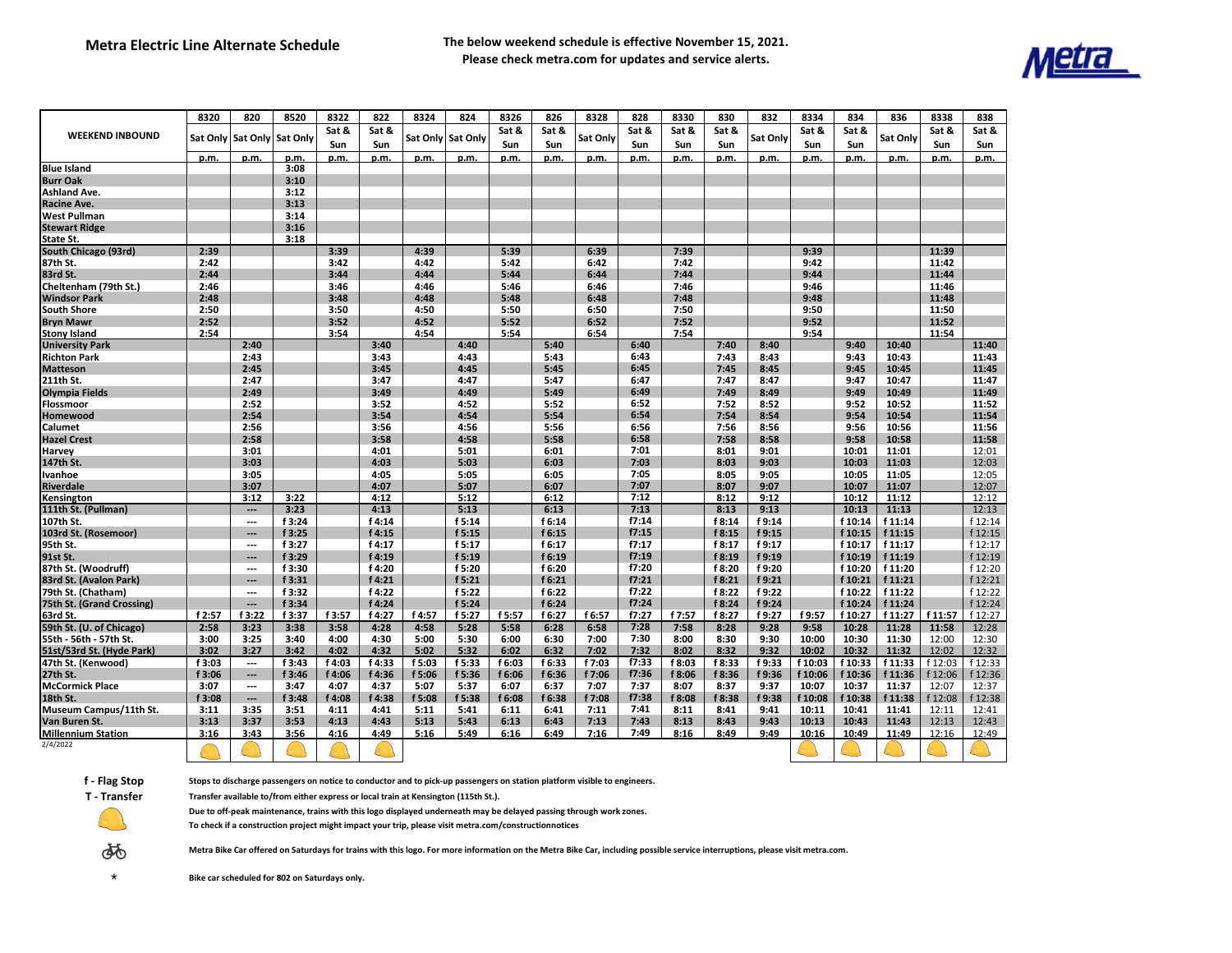

|                                       | 8320         | 820                      | 8520         | 8322         | 822      | 8324   | 824               | 8326   | 826      | 8328           | 828   | 8330   | 830            | 832      | 8334    | 834            | 836      | 8338    | 838        |
|---------------------------------------|--------------|--------------------------|--------------|--------------|----------|--------|-------------------|--------|----------|----------------|-------|--------|----------------|----------|---------|----------------|----------|---------|------------|
|                                       |              |                          |              | Sat &        | Sat &    |        |                   | Sat &  | Sat &    |                | Sat & | Sat &  | Sat &          |          | Sat &   | Sat &          |          | Sat &   | Sat &      |
| <b>WEEKEND INBOUND</b>                | Sat Only     | Sat Only                 | Sat Only     | Sun          | Sun      |        | Sat Only Sat Only | Sun    | Sun      | Sat Only       | Sun   | Sun    | Sun            | Sat Only | Sun     | Sun            | Sat Only | Sun     | <b>Sun</b> |
|                                       | p.m.         | p.m.                     |              | p.m.         | p.m.     |        | p.m.              | p.m.   | p.m.     | p.m.           | p.m.  | p.m.   | p.m.           |          | p.m.    | p.m.           |          | p.m.    | p.m.       |
| <b>Blue Island</b>                    |              |                          | p.m.<br>3:08 |              |          | p.m.   |                   |        |          |                |       |        |                | p.m.     |         |                | p.m.     |         |            |
| <b>Burr Oak</b>                       |              |                          | 3:10         |              |          |        |                   |        |          |                |       |        |                |          |         |                |          |         |            |
| <b>Ashland Ave.</b>                   |              |                          | 3:12         |              |          |        |                   |        |          |                |       |        |                |          |         |                |          |         |            |
| <b>Racine Ave.</b>                    |              |                          | 3:13         |              |          |        |                   |        |          |                |       |        |                |          |         |                |          |         |            |
| <b>West Pullman</b>                   |              |                          | 3:14         |              |          |        |                   |        |          |                |       |        |                |          |         |                |          |         |            |
|                                       |              |                          |              |              |          |        |                   |        |          |                |       |        |                |          |         |                |          |         |            |
| <b>Stewart Ridge</b>                  |              |                          | 3:16         |              |          |        |                   |        |          |                |       |        |                |          |         |                |          |         |            |
| <b>State St.</b>                      | 2:39         |                          | 3:18         |              |          |        |                   |        |          |                |       |        |                |          |         |                |          |         |            |
| South Chicago (93rd)                  |              |                          |              | 3:39         |          | 4:39   |                   | 5:39   |          | 6:39           |       | 7:39   |                |          | 9:39    |                |          | 11:39   |            |
| 87th St.                              | 2:42         |                          |              | 3:42         |          | 4:42   |                   | 5:42   |          | 6:42           |       | 7:42   |                |          | 9:42    |                |          | 11:42   |            |
| 83rd St.                              | 2:44         |                          |              | 3:44         |          | 4:44   |                   | 5:44   |          | 6:44           |       | 7:44   |                |          | 9:44    |                |          | 11:44   |            |
| Cheltenham (79th St.)                 | 2:46         |                          |              | 3:46         |          | 4:46   |                   | 5:46   |          | 6:46           |       | 7:46   |                |          | 9:46    |                |          | 11:46   |            |
| <b>Windsor Park</b>                   | 2:48         |                          |              | 3:48         |          | 4:48   |                   | 5:48   |          | 6:48           |       | 7:48   |                |          | 9:48    |                |          | 11:48   |            |
| <b>South Shore</b>                    | 2:50         |                          |              | 3:50         |          | 4:50   |                   | 5:50   |          | 6:50           |       | 7:50   |                |          | 9:50    |                |          | 11:50   |            |
| <b>Bryn Mawr</b>                      | 2:52         |                          |              | 3:52         |          | 4:52   |                   | 5:52   |          | 6:52           |       | 7:52   |                |          | 9:52    |                |          | 11:52   |            |
| <b>Stony Island</b>                   | 2:54         |                          |              | 3:54         |          | 4:54   |                   | 5:54   |          | 6:54           |       | 7:54   |                |          | 9:54    |                |          | 11:54   |            |
| <b>University Park</b>                |              | 2:40                     |              |              | 3:40     |        | 4:40              |        | 5:40     |                | 6:40  |        | 7:40           | 8:40     |         | 9:40           | 10:40    |         | 11:40      |
| <b>Richton Park</b>                   |              | 2:43                     |              |              | 3:43     |        | 4:43              |        | 5:43     |                | 6:43  |        | 7:43           | 8:43     |         | 9:43           | 10:43    |         | 11:43      |
| <b>Matteson</b>                       |              | 2:45                     |              |              | 3:45     |        | 4:45              |        | 5:45     |                | 6:45  |        | 7:45           | 8:45     |         | 9:45           | 10:45    |         | 11:45      |
| 211th St.                             |              | 2:47                     |              |              | 3:47     |        | 4:47              |        | 5:47     |                | 6:47  |        | 7:47           | 8:47     |         | 9:47           | 10:47    |         | 11:47      |
| <b>Olympia Fields</b>                 |              | 2:49                     |              |              | 3:49     |        | 4:49              |        | 5:49     |                | 6:49  |        | 7:49           | 8:49     |         | 9:49           | 10:49    |         | 11:49      |
| <b>Flossmoor</b>                      |              | 2:52                     |              |              | 3:52     |        | 4:52              |        | 5:52     |                | 6:52  |        | 7:52           | 8:52     |         | 9:52           | 10:52    |         | 11:52      |
| Homewood                              |              | 2:54                     |              |              | 3:54     |        | 4:54              |        | 5:54     |                | 6:54  |        | 7:54           | 8:54     |         | 9:54           | 10:54    |         | 11:54      |
| <b>Calumet</b>                        |              | 2:56                     |              |              | 3:56     |        | 4:56              |        | 5:56     |                | 6:56  |        | 7:56           | 8:56     |         | 9:56           | 10:56    |         | 11:56      |
| <b>Hazel Crest</b>                    |              | 2:58                     |              |              | 3:58     |        | 4:58              |        | 5:58     |                | 6:58  |        | 7:58           | 8:58     |         | 9:58           | 10:58    |         | 11:58      |
| Harvey                                |              | 3:01                     |              |              | 4:01     |        | 5:01              |        | 6:01     |                | 7:01  |        | 8:01           | 9:01     |         | 10:01          | 11:01    |         | 12:01      |
| 147th St.                             |              | 3:03                     |              |              | 4:03     |        | 5:03              |        | 6:03     |                | 7:03  |        | 8:03           | 9:03     |         | 10:03          | 11:03    |         | 12:03      |
| <b>Ivanhoe</b>                        |              | 3:05                     |              |              | 4:05     |        | 5:05              |        | 6:05     |                | 7:05  |        | 8:05           | 9:05     |         | 10:05          | 11:05    |         | 12:05      |
| Riverdale                             |              | 3:07                     |              |              | 4:07     |        | 5:07              |        | 6:07     |                | 7:07  |        | 8:07           | 9:07     |         | 10:07          | 11:07    |         | 12:07      |
| Kensington                            |              | 3:12                     | 3:22         |              | 4:12     |        | 5:12              |        | 6:12     |                | 7:12  |        | 8:12           | 9:12     |         | 10:12          | 11:12    |         | 12:12      |
| 111th St. (Pullman)                   |              | ---                      | 3:23         |              | 4:13     |        | 5:13              |        | 6:13     |                | 7:13  |        | 8:13           | 9:13     |         | 10:13          | 11:13    |         | 12:13      |
| 107th St.                             |              | ---                      | f 3:24       |              | f 4:14   |        | f 5:14            |        | f 6:14   |                | f7:14 |        | f 8:14         | f 9:14   |         | f 10:14        | f 11:14  |         | f 12:14    |
| 103rd St. (Rosemoor)                  |              | ---                      | f3:25        |              | $f$ 4:15 |        | f 5:15            |        | $f$ 6:15 |                | f7:15 |        | f 8:15         | f 9:15   |         | f 10:15        | f 11:15  |         | f 12:15    |
| 95th St.                              |              | ---                      | f 3:27       |              | f 4:17   |        | f 5:17            |        | f 6:17   |                | f7:17 |        | f 8:17         | f 9:17   |         | f 10:17        | f 11:17  |         | f 12:17    |
| 91st St.                              |              | ---                      | f 3:29       |              | f 4:19   |        | f 5:19            |        | f 6:19   |                | f7:19 |        | f 8:19         | f 9:19   |         | f 10:19        | f 11:19  |         | f 12:19    |
| 87th St. (Woodruff)                   |              | ---                      | f 3:30       |              | f 4:20   |        | f 5:20            |        | f 6:20   |                | f7:20 |        | f 8:20         | f 9:20   |         | f 10:20        | f 11:20  |         | f 12:20    |
| 83rd St. (Avalon Park)                |              | ---                      | f3:31        |              | f 4:21   |        | f 5:21            |        | $f$ 6:21 |                | f7:21 |        | f 8:21         | f 9:21   |         | f 10:21        | f 11:21  |         | f 12:21    |
| 79th St. (Chatham)                    |              | ---                      | f 3:32       |              | f 4:22   |        | f 5:22            |        | f 6:22   |                | f7:22 |        | f 8:22         | f 9:22   |         | f 10:22        | f 11:22  |         | f 12:22    |
| 75th St. (Grand Crossing)             |              | ---                      | f 3:34       |              | f 4:24   |        | f 5:24            |        | f 6:24   |                | f7:24 |        | f 8:24         | f 9:24   |         | f 10:24        | f 11:24  |         | f 12:24    |
| 63rd St.                              | f 2:57       | f 3:22                   | f 3:37       | f 3:57       | f 4:27   | f 4:57 | f 5:27            | f 5:57 | f 6:27   | f 6:57         | f7:27 | f 7:57 | f 8:27         | f 9:27   | f 9:57  | f 10:27        | f 11:27  | f 11:57 | f 12:27    |
| 59th St. (U. of Chicago)              | 2:58         | 3:23                     | 3:38         | 3:58         | 4:28     | 4:58   | 5:28              | 5:58   | 6:28     | 6:58           | 7:28  | 7:58   | 8:28           | 9:28     | 9:58    | 10:28          | 11:28    | 11:58   | 12:28      |
| 55th - 56th - 57th St.                | 3:00         | 3:25                     | 3:40         | 4:00         | 4:30     | 5:00   | 5:30              | 6:00   | 6:30     | 7:00           | 7:30  | 8:00   | 8:30           | 9:30     | 10:00   | 10:30          | 11:30    | 12:00   | 12:30      |
| 51st/53rd St. (Hyde Park)             | 3:02         | 3:27                     | 3:42         | 4:02         | 4:32     | 5:02   | 5:32              | 6:02   | 6:32     | 7:02           | 7:32  | 8:02   | 8:32           | 9:32     | 10:02   | 10:32          | 11:32    | 12:02   | 12:32      |
| 47th St. (Kenwood)                    | f 3:03       | $\overline{\phantom{a}}$ | f 3:43       | f 4:03       | f 4:33   | f 5:03 | f 5:33            | f 6:03 | f 6:33   | f 7:03         | f7:33 | f 8:03 | f 8:33         | f 9:33   | f 10:03 | f 10:33        | f 11:33  | f 12:03 | f 12:33    |
| 27th St.                              | f 3:06       | ---                      | f 3:46       | f 4:06       | f 4:36   | f 5:06 | f 5:36            | f 6:06 | f 6:36   | f 7:06         | f7:36 | f 8:06 | f 8:36         | f 9:36   | f 10:06 | f 10:36        | f 11:36  | f 12:06 | f 12:36    |
| <b>McCormick Place</b>                | 3:07         | ---                      | 3:47         | 4:07         | 4:37     | 5:07   | 5:37              | 6:07   | 6:37     | 7:07           | 7:37  | 8:07   | 8:37           | 9:37     | 10:07   | 10:37          | 11:37    | 12:07   | 12:37      |
|                                       |              |                          |              | f 4:08       |          |        |                   |        |          |                | f7:38 |        |                |          |         | f 10:38        | f 11:38  | f 12:08 | f 12:38    |
| 18th St.                              | f 3:08       |                          | f 3:48       |              | f 4:38   | f 5:08 | f 5:38<br>5:41    | f 6:08 | f 6:38   | f 7:08<br>7:11 | 7:41  | f 8:08 | f 8:38<br>8:41 | f 9:38   | f 10:08 |                |          |         |            |
| Museum Campus/11th St.                | 3:11<br>3:13 | 3:35                     | 3:51         | 4:11<br>4:13 | 4:41     | 5:11   |                   | 6:11   | 6:41     |                | 7:43  | 8:11   |                | 9:41     | 10:11   | 10:41<br>10:43 | 11:41    | 12:11   | 12:41      |
| Van Buren St.                         |              | 3:37                     | 3:53         |              | 4:43     | 5:13   | 5:43              | 6:13   | 6:43     | 7:13           | 7:49  | 8:13   | 8:43           | 9:43     | 10:13   |                | 11:43    | 12:13   | 12:43      |
| <b>Millennium Station</b><br>2/4/2022 | 3:16         | 3:43                     | 3:56         | 4:16         | 4:49     | 5:16   | 5:49              | 6:16   | 6:49     | 7:16           |       | 8:16   | 8:49           | 9:49     | 10:16   | 10:49          | 11:49    | 12:16   | 12:49      |
|                                       |              |                          |              |              |          |        |                   |        |          |                |       |        |                |          |         |                |          |         |            |

**f - Flag Stop**

**Stops to discharge passengers on notice to conductor and to pick-up passengers on station platform visible to engineers.**

**Due to off-peak maintenance, trains with this logo displayed underneath may be delayed passing through work zones.** 



**Transfer available to/from either express or local train at Kensington (115th St.).**

**To check if a construction project might impact your trip, please visit metra.com/constructionnotices**

ශ්ර \*

**Metra Bike Car offered on Saturdays for trains with this logo. For more information on the Metra Bike Car, including possible service interruptions, please visit metra.com.**

**Bike car scheduled for 802 on Saturdays only.**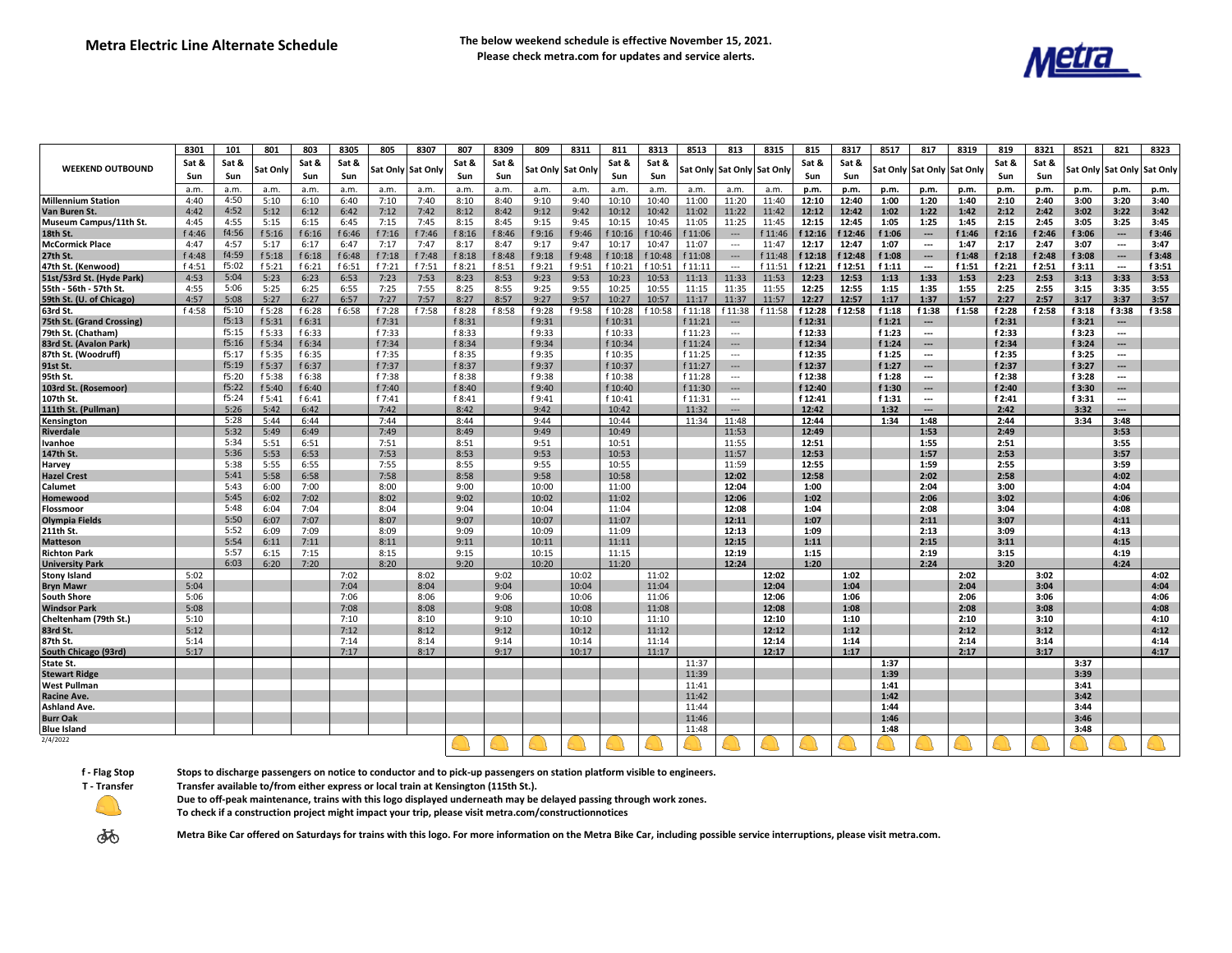

|                                       | 8301         | 101          | 801          | 803          | 8305         | 805          | 8307              | 807          | 8309         | 809         | 8311              | 811           | 8313          | 8513           | 813                        | 8315          | 815           | 8317          | 8517         | 817                      | 8319                       | 819          | 8321         | 8521         | 821                      | 8323                       |
|---------------------------------------|--------------|--------------|--------------|--------------|--------------|--------------|-------------------|--------------|--------------|-------------|-------------------|---------------|---------------|----------------|----------------------------|---------------|---------------|---------------|--------------|--------------------------|----------------------------|--------------|--------------|--------------|--------------------------|----------------------------|
|                                       | Sat &        | Sat &        |              | Sat &        | Sat &        |              |                   | Sat &        | Sat &        |             |                   | Sat &         | Sat &         |                |                            |               | Sat &         | Sat &         |              |                          |                            | Sat &        | Sat &        |              |                          |                            |
| <b>WEEKEND OUTBOUND</b>               | Sun          | Sun          | Sat Only     | Sun          | Sun          |              | Sat Only Sat Only | Sun          | Sun          |             | Sat Only Sat Only | Sun           | Sun           |                | Sat Only Sat Only Sat Only |               | Sun           | Sun           |              |                          | Sat Only Sat Only Sat Only | Sun          | Sun          |              |                          | Sat Only Sat Only Sat Only |
|                                       |              |              |              |              |              |              |                   |              |              |             |                   |               |               |                |                            |               |               |               |              |                          |                            |              |              |              |                          |                            |
| <b>Millennium Station</b>             | a.m.<br>4:40 | a.m.<br>4:50 | a.m.<br>5:10 | a.m.<br>6:10 | a.m.<br>6:40 | a.m.<br>7:10 | a.m.<br>7:40      | a.m.<br>8:10 | a.m.<br>8:40 | a.m<br>9:10 | a.m<br>9:40       | a.m.<br>10:10 | a.m.<br>10:40 | a.m.<br>11:00  | a.m.<br>11:20              | a.m.<br>11:40 | p.m.<br>12:10 | p.m.<br>12:40 | p.m.<br>1:00 | p.m.<br>1:20             | p.m.<br>1:40               | p.m.<br>2:10 | p.m.<br>2:40 | p.m.<br>3:00 | p.m.<br>3:20             | p.m.<br>3:40               |
| Van Buren St.                         | 4:42         | 4:52         | 5:12         | 6:12         | 6:42         | 7:12         | 7:42              | 8:12         | 8:42         | 9:12        | 9:42              | 10:12         | 10:42         | 11:02          | 11:22                      | 11:42         | 12:12         | 12:42         | 1:02         | 1:22                     | 1:42                       | 2:12         | 2:42         | 3:02         | 3:22                     | 3:42                       |
| Museum Campus/11th St.                | 4:45         | 4:55         | 5:15         | 6:15         | 6:45         | 7:15         | 7:45              | 8:15         | 8:45         | 9:15        | 9:45              | 10:15         | 10:45         | 11:05          | 11:25                      | 11:45         | 12:15         | 12:45         | 1:05         | 1:25                     | 1:45                       | 2:15         | 2:45         | 3:05         | 3:25                     | 3:45                       |
| <b>18th St.</b>                       | f 4:46       | f4:56        | f 5:16       | f 6:16       | f 6:46       | f 7:16       | f 7:46            | f 8:16       | f 8:46       | f 9:16      | f 9:46            | f 10:16       | f 10:46       | f 11:06        | $\overline{\phantom{a}}$   | f 11:46       | f 12:16       | f 12:46       | f 1:06       | $\overline{\phantom{a}}$ | f 1:46                     | f 2:16       | f 2:46       | f 3:06       | $\overline{\phantom{a}}$ | f 3:46                     |
| <b>McCormick Place</b>                | 4:47         | 4:57         | 5:17         | 6:17         | 6:47         | 7:17         | 7:47              | 8:17         | 8:47         | 9:17        | 9:47              | 10:17         | 10:47         | 11:07          | $\ldots$                   | 11:47         | 12:17         | 12:47         | 1:07         | $\overline{\phantom{a}}$ | 1:47                       | 2:17         | 2:47         | 3:07         | $\overline{a}$           | 3:47                       |
| 27th St.                              | f 4:48       | f4:59        | f 5:18       | f 6:18       | f 6:48       | f 7:18       | f 7:48            | f 8:18       | f 8:48       | f 9:18      | f 9:48            | f 10:18       | f 10:48       | f 11:08        | $\overline{\phantom{a}}$   | f 11:48       | f 12:18       | f 12:48       | f 1:08       | $\overline{\phantom{a}}$ | f 1:48                     | f 2:18       | f 2:48       | f 3:08       | ---                      | f 3:48                     |
| 47th St. (Kenwood)                    | f 4:51       | f5:02        | f 5:21       | f 6:21       | f 6:51       | f7:21        | f 7:51            | f 8:21       | f 8:51       | f 9:21      | f 9:51            | f 10:21       | f 10:51       | f 11:11        | $\overline{\phantom{a}}$   | f 11:51       | f 12:21       | f 12:51       | f1:11        | $\overline{\phantom{a}}$ | f 1:51                     | f 2:21       | f 2:51       | f3:11        | $\overline{a}$           | f 3:51                     |
| 51st/53rd St. (Hyde Park)             | 4:53         | 5:04         | 5:23         | 6:23         | 6:53         | 7:23         | 7:53              | 8:23         | 8:53         | 9:23        | 9:53              | 10:23         | 10:53         | 11:13          | 11:33                      | 11:53         | 12:23         | 12:53         | 1:13         | 1:33                     | 1:53                       | 2:23         | 2:53         | 3:13         | 3:33                     | 3:53                       |
| 55th - 56th - 57th St.                | 4:55         | 5:06         | 5:25         | 6:25         | 6:55         | 7:25         | 7:55              | 8:25         | 8:55         | 9:25        | 9:55              | 10:25         | 10:55         | 11:15          | 11:35                      | 11:55         | 12:25         | 12:55         | 1:15         | 1:35                     | 1:55                       | 2:25         | 2:55         | 3:15         | 3:35                     | 3:55                       |
| 59th St. (U. of Chicago)              | 4:57         | 5:08         | 5:27         | 6:27         | 6:57         | 7:27         | 7:57              | 8:27         | 8:57         | 9:27        | 9:57              | 10:27         | 10:57         | 11:17          | 11:37                      | 11:57         | 12:27         | 12:57         | 1:17         | 1:37                     | 1:57                       | 2:27         | 2:57         | 3:17         | 3:37                     | 3:57                       |
| 63rd St.                              | f 4:58       | f5:10        | f 5:28       | f 6:28       | f 6:58       | f 7:28       | f 7:58            | f 8:28       | f 8:58       | f 9:28      | f 9:58            | f 10:28       | f 10:58       | f 11:18        | f 11:38                    | f 11:58       | f 12:28       | f 12:58       | f 1:18       | f 1:38                   | f 1:58                     | f 2:28       | f 2:58       | f 3:18       | f 3:38                   | f 3:58                     |
| 75th St. (Grand Crossing)             |              | f5:13        | f 5:31       | f 6:31       |              | f 7:31       |                   | f 8:31       |              | f 9:31      |                   | f 10:31       |               | f 11:21        | $\overline{\phantom{a}}$   |               | f 12:31       |               | f1:21        | $\overline{\phantom{a}}$ |                            | f 2:31       |              | f 3:21       | ---                      |                            |
| 79th St. (Chatham)                    |              | f5:15        | f 5:33       | f 6:33       |              | f 7:33       |                   | f 8:33       |              | f 9:33      |                   | f 10:33       |               | f 11:23        | $\overline{\phantom{a}}$   |               | f 12:33       |               | f 1:23       | $\sim$                   |                            | f 2:33       |              | f 3:23       | ---                      |                            |
| 83rd St. (Avalon Park)                |              | f5:16        | f 5:34       | f 6:34       |              | f 7:34       |                   | f 8:34       |              | f 9:34      |                   | f 10:34       |               | f 11:24        | $\overline{\phantom{a}}$   |               | f 12:34       |               | f1:24        | $\hspace{0.05cm} \cdots$ |                            | f 2:34       |              | f 3:24       | ---                      |                            |
| 87th St. (Woodruff)                   |              | f5:17        | f 5:35       | f 6:35       |              | f 7:35       |                   | f 8:35       |              | f 9:35      |                   | f 10:35       |               | f 11:25        | $\sim$                     |               | f 12:35       |               | f 1:25       | $\sim$                   |                            | f 2:35       |              | f 3:25       | $\sim$                   |                            |
| 91st St.                              |              | f5:19        | f 5:37       | f 6:37       |              | f 7:37       |                   | f 8:37       |              | f 9:37      |                   | f 10:37       |               | f 11:27        | $\overline{\phantom{a}}$   |               | f 12:37       |               | f 1:27       | $\cdots$                 |                            | f 2:37       |              | f 3:27       | ---                      |                            |
| 95th St.                              |              | f5:20        | f 5:38       | f 6:38       |              | f 7:38       |                   | f 8:38       |              | f 9:38      |                   | f 10:38       |               | f 11:28        | $\sim$                     |               | f 12:38       |               | f 1:28       | $\sim$                   |                            | f 2:38       |              | f 3:28       | $\overline{a}$           |                            |
| 103rd St. (Rosemoor)                  |              | f5:22        | f 5:40       | f 6:40       |              | f 7:40       |                   | f 8:40       |              | f 9:40      |                   | f 10:40       |               | f 11:30        | $\overline{\phantom{a}}$   |               | f 12:40       |               | f 1:30       | $\hspace{0.05cm} \cdots$ |                            | f 2:40       |              | f 3:30       | ---                      |                            |
| 107th St.                             |              | f5:24        | f 5:41       | f 6:41       |              | f 7:41       |                   | f 8:41       |              | f 9:41      |                   | f 10:41       |               | f 11:31        | $---$                      |               | f 12:41       |               | f 1:31       | $\overline{\phantom{a}}$ |                            | f2:41        |              | f 3:31       | ---                      |                            |
| 111th St. (Pullman)                   |              | 5:26         | 5:42         | 6:42         |              | 7:42         |                   | 8:42         |              | 9:42        |                   | 10:42         |               | 11:32          | $\overline{\phantom{a}}$   |               | 12:42         |               | 1:32         | $\overline{\phantom{a}}$ |                            | 2:42         |              | 3:32         | $\overline{a}$           |                            |
| Kensington                            |              | 5:28         | 5:44         | 6:44         |              | 7:44         |                   | 8:44         |              | 9:44        |                   | 10:44         |               | 11:34          | 11:48                      |               | 12:44         |               | 1:34         | 1:48                     |                            | 2:44         |              | 3:34         | 3:48                     |                            |
| Riverdale                             |              | 5:32         | 5:49         | 6:49         |              | 7:49         |                   | 8:49         |              | 9:49        |                   | 10:49         |               |                | 11:53                      |               | 12:49         |               |              | 1:53                     |                            | 2:49         |              |              | 3:53                     |                            |
| Ivanhoe                               |              | 5:34         | 5:51         | 6:51         |              | 7:51         |                   | 8:51         |              | 9:51        |                   | 10:51         |               |                | 11:55                      |               | 12:51         |               |              | 1:55                     |                            | 2:51         |              |              | 3:55                     |                            |
| 147th St.                             |              | 5:36         | 5:53         | 6:53         |              | 7:53         |                   | 8:53         |              | 9:53        |                   | 10:53         |               |                | 11:57                      |               | 12:53         |               |              | 1:57                     |                            | 2:53         |              |              | 3:57                     |                            |
| Harvey                                |              | 5:38         | 5:55         | 6:55         |              | 7:55         |                   | 8:55         |              | 9:55        |                   | 10:55         |               |                | 11:59                      |               | 12:55         |               |              | 1:59                     |                            | 2:55         |              |              | 3:59                     |                            |
| <b>Hazel Crest</b>                    |              | 5:41         | 5:58         | 6:58         |              | 7:58         |                   | 8:58         |              | 9:58        |                   | 10:58         |               |                | 12:02                      |               | 12:58         |               |              | 2:02                     |                            | 2:58         |              |              | 4:02                     |                            |
| Calumet                               |              | 5:43         | 6:00         | 7:00         |              | 8:00         |                   | 9:00         |              | 10:00       |                   | 11:00         |               |                | 12:04                      |               | 1:00          |               |              | 2:04                     |                            | 3:00         |              |              | 4:04                     |                            |
| Homewood                              |              | 5:45         | 6:02         | 7:02         |              | 8:02         |                   | 9:02         |              | 10:02       |                   | 11:02         |               |                | 12:06                      |               | 1:02          |               |              | 2:06                     |                            | 3:02         |              |              | 4:06                     |                            |
| Flossmoor                             |              | 5:48         | 6:04         | 7:04         |              | 8:04         |                   | 9:04         |              | 10:04       |                   | 11:04         |               |                | 12:08                      |               | 1:04          |               |              | 2:08                     |                            | 3:04         |              |              | 4:08                     |                            |
| <b>Olympia Fields</b>                 |              | 5:50         | 6:07         | 7:07         |              | 8:07         |                   | 9:07         |              | 10:07       |                   | 11:07         |               |                | 12:11                      |               | 1:07          |               |              | 2:11                     |                            | 3:07         |              |              | 4:11                     |                            |
| 211th St.                             |              | 5:52         | 6:09         | 7:09         |              | 8:09         |                   | 9:09         |              | 10:09       |                   | 11:09         |               |                | 12:13                      |               | 1:09          |               |              | 2:13                     |                            | 3:09         |              |              | 4:13                     |                            |
| <b>Matteson</b>                       |              | 5:54         | 6:11         | 7:11         |              | 8:11         |                   | 9:11         |              | 10:11       |                   | 11:11         |               |                | 12:15                      |               | 1:11          |               |              | 2:15                     |                            | 3:11         |              |              | 4:15                     |                            |
| <b>Richton Park</b>                   |              | 5:57         | 6:15         | 7:15         |              | 8:15         |                   | 9:15         |              | 10:15       |                   | 11:15         |               |                | 12:19                      |               | 1:15          |               |              | 2:19                     |                            | 3:15         |              |              | 4:19                     |                            |
| <b>University Park</b>                |              | 6:03         | 6:20         | 7:20         |              | 8:20         |                   | 9:20         |              | 10:20       |                   | 11:20         |               |                | 12:24                      |               | 1:20          |               |              | 2:24                     |                            | 3:20         |              |              | 4:24                     |                            |
| <b>Stony Island</b>                   | 5:02         |              |              |              | 7:02         |              | 8:02              |              | 9:02         |             | 10:02             |               | 11:02         |                |                            | 12:02         |               | 1:02          |              |                          | 2:02                       |              | 3:02         |              |                          | 4:02                       |
| <b>Bryn Mawr</b>                      | 5:04         |              |              |              | 7:04         |              | 8:04              |              | 9:04         |             | 10:04             |               | 11:04         |                |                            | 12:04         |               | 1:04          |              |                          | 2:04                       |              | 3:04         |              |                          | 4:04                       |
| <b>South Shore</b>                    | 5:06         |              |              |              | 7:06         |              | 8:06              |              | 9:06         |             | 10:06             |               | 11:06         |                |                            | 12:06         |               | 1:06          |              |                          | 2:06                       |              | 3:06         |              |                          | 4:06                       |
| <b>Windsor Park</b>                   | 5:08         |              |              |              | 7:08         |              | 8:08              |              | 9:08         |             | 10:08             |               | 11:08         |                |                            | 12:08         |               | 1:08          |              |                          | 2:08                       |              | 3:08         |              |                          | 4:08                       |
| Cheltenham (79th St.)                 | 5:10         |              |              |              | 7:10         |              | 8:10              |              | 9:10         |             | 10:10             |               | 11:10         |                |                            | 12:10         |               | 1:10          |              |                          | 2:10                       |              | 3:10         |              |                          | 4:10                       |
| 83rd St.                              | 5:12         |              |              |              | 7:12         |              | 8:12              |              | 9:12         |             | 10:12             |               | 11:12         |                |                            | 12:12         |               | 1:12          |              |                          | 2:12                       |              | 3:12         |              |                          | 4:12                       |
| 87th St.                              | 5:14         |              |              |              | 7:14         |              | 8:14              |              | 9:14         |             | 10:14             |               | 11:14         |                |                            | 12:14         |               | 1:14          |              |                          | 2:14                       |              | 3:14         |              |                          | 4:14                       |
| South Chicago (93rd)                  | 5:17         |              |              |              | 7:17         |              | 8:17              |              | 9:17         |             | 10:17             |               | 11:17         |                |                            | 12:17         |               | 1:17          |              |                          | 2:17                       |              | 3:17         |              |                          | 4:17                       |
| <b>State St.</b>                      |              |              |              |              |              |              |                   |              |              |             |                   |               |               | 11:37<br>11:39 |                            |               |               |               | 1:37<br>1:39 |                          |                            |              |              | 3:37<br>3:39 |                          |                            |
| <b>Stewart Ridge</b>                  |              |              |              |              |              |              |                   |              |              |             |                   |               |               | 11:41          |                            |               |               |               | 1:41         |                          |                            |              |              | 3:41         |                          |                            |
| <b>West Pullman</b>                   |              |              |              |              |              |              |                   |              |              |             |                   |               |               |                |                            |               |               |               |              |                          |                            |              |              |              |                          |                            |
| Racine Ave.                           |              |              |              |              |              |              |                   |              |              |             |                   |               |               | 11:42          |                            |               |               |               | 1:42         |                          |                            |              |              | 3:42         |                          |                            |
| <b>Ashland Ave.</b>                   |              |              |              |              |              |              |                   |              |              |             |                   |               |               | 11:44<br>11:46 |                            |               |               |               | 1:44<br>1:46 |                          |                            |              |              | 3:44<br>3:46 |                          |                            |
| <b>Burr Oak</b><br><b>Blue Island</b> |              |              |              |              |              |              |                   |              |              |             |                   |               |               | 11:48          |                            |               |               |               | 1:48         |                          |                            |              |              | 3:48         |                          |                            |
| 2/4/2022                              |              |              |              |              |              |              |                   |              |              |             |                   |               |               |                |                            |               |               |               |              |                          |                            |              |              |              |                          |                            |
|                                       |              |              |              |              |              |              |                   |              |              |             |                   |               |               |                |                            |               |               |               |              |                          |                            |              |              |              |                          |                            |

**f - Flag Stop Stops to discharge passengers on notice to conductor and to pick-up passengers on station platform visible to engineers.**

Transfer available to/from either express or local train at Kensington (115th St.).



**Due to off-peak maintenance, trains with this logo displayed underneath may be delayed passing through work zones.** 

**To check if a construction project might impact your trip, please visit metra.com/constructionnotices**



**Metra Bike Car offered on Saturdays for trains with this logo. For more information on the Metra Bike Car, including possible service interruptions, please visit metra.com.**